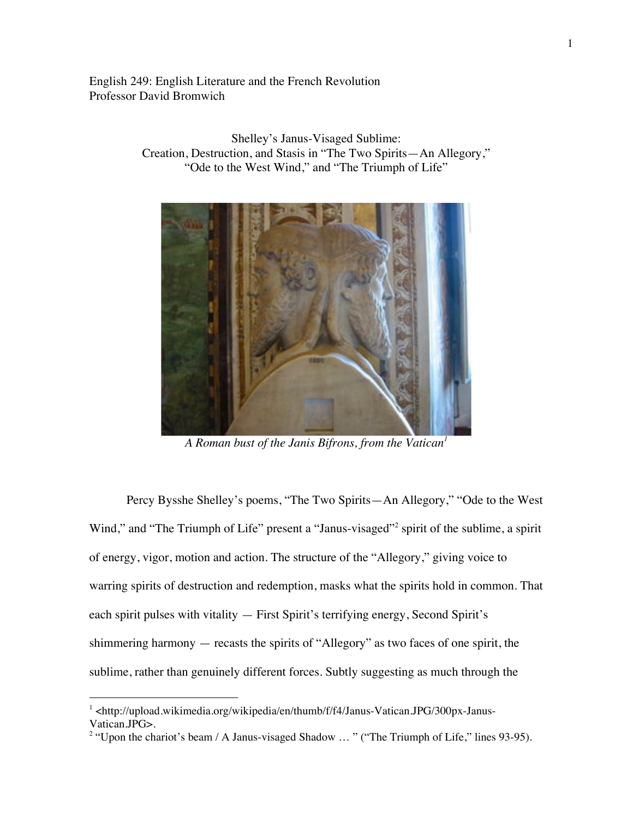English 249: English Literature and the French Revolution Professor David Bromwich

Creation, Destruction, and Stasis in "The Two Spirits—An Allegory," "Ode to the West Wind," and "The Triumph of Life"

*A Roman bust of the Janis Bifrons, from the Vatican<sup>1</sup>*

Percy Bysshe Shelley's poems, "The Two Spirits—An Allegory," "Ode to the West Wind," and "The Triumph of Life" present a "Janus-visaged"<sup>2</sup> spirit of the sublime, a spirit of energy, vigor, motion and action. The structure of the "Allegory," giving voice to warring spirits of destruction and redemption, masks what the spirits hold in common. That each spirit pulses with vitality — First Spirit's terrifying energy, Second Spirit's shimmering harmony — recasts the spirits of "Allegory" as two faces of one spirit, the sublime, rather than genuinely different forces. Subtly suggesting as much through the

 $\overline{a}$ 

Shelley's Janus-Visaged Sublime:

1

<sup>&</sup>lt;sup>1</sup> <http://upload.wikimedia.org/wikipedia/en/thumb/f/f4/Janus-Vatican.JPG/300px-Janus-Vatican.JPG>.

<sup>&</sup>lt;sup>2</sup> "Upon the chariot's beam / A Janus-visaged Shadow ... " ("The Triumph of Life," lines 93-95).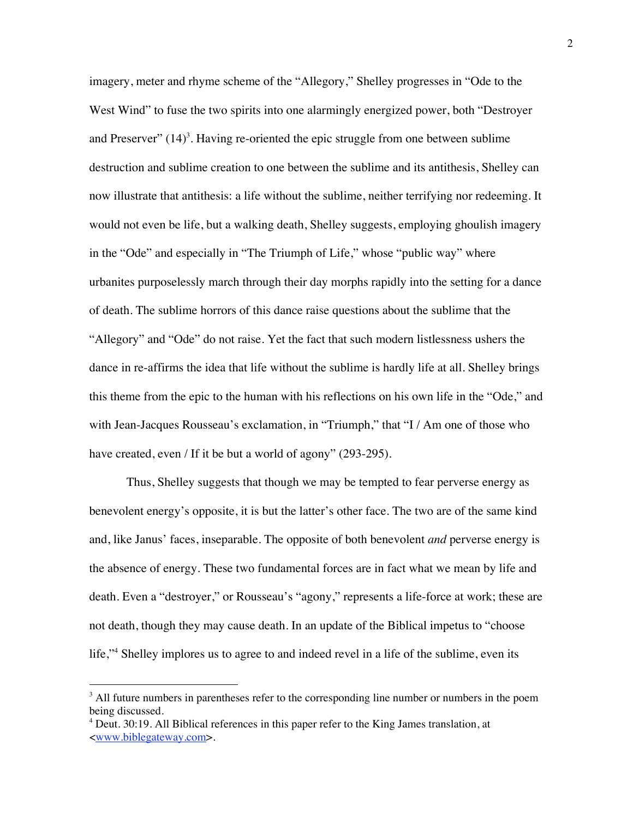imagery, meter and rhyme scheme of the "Allegory," Shelley progresses in "Ode to the West Wind" to fuse the two spirits into one alarmingly energized power, both "Destroyer and Preserver"  $(14)^3$ . Having re-oriented the epic struggle from one between sublime destruction and sublime creation to one between the sublime and its antithesis, Shelley can now illustrate that antithesis: a life without the sublime, neither terrifying nor redeeming. It would not even be life, but a walking death, Shelley suggests, employing ghoulish imagery in the "Ode" and especially in "The Triumph of Life," whose "public way" where urbanites purposelessly march through their day morphs rapidly into the setting for a dance of death. The sublime horrors of this dance raise questions about the sublime that the "Allegory" and "Ode" do not raise. Yet the fact that such modern listlessness ushers the dance in re-affirms the idea that life without the sublime is hardly life at all. Shelley brings this theme from the epic to the human with his reflections on his own life in the "Ode," and with Jean-Jacques Rousseau's exclamation, in "Triumph," that "I / Am one of those who have created, even / If it be but a world of agony" (293-295).

Thus, Shelley suggests that though we may be tempted to fear perverse energy as benevolent energy's opposite, it is but the latter's other face. The two are of the same kind and, like Janus' faces, inseparable. The opposite of both benevolent *and* perverse energy is the absence of energy. These two fundamental forces are in fact what we mean by life and death. Even a "destroyer," or Rousseau's "agony," represents a life-force at work; these are not death, though they may cause death. In an update of the Biblical impetus to "choose life,"4 Shelley implores us to agree to and indeed revel in a life of the sublime, even its

 $3$  All future numbers in parentheses refer to the corresponding line number or numbers in the poem being discussed.

<sup>&</sup>lt;sup>4</sup> Deut. 30:19. All Biblical references in this paper refer to the King James translation, at <www.biblegateway.com>.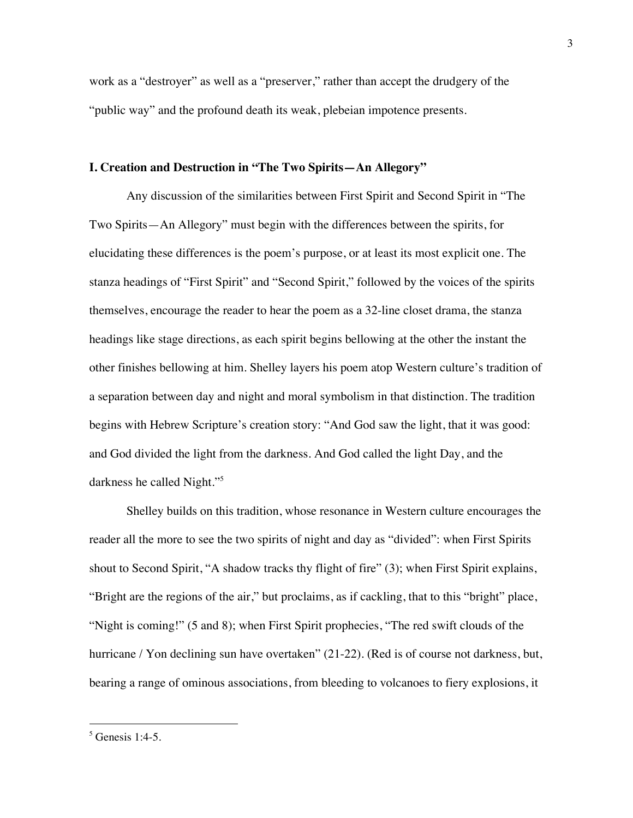work as a "destroyer" as well as a "preserver," rather than accept the drudgery of the "public way" and the profound death its weak, plebeian impotence presents.

## **I. Creation and Destruction in "The Two Spirits—An Allegory"**

Any discussion of the similarities between First Spirit and Second Spirit in "The Two Spirits—An Allegory" must begin with the differences between the spirits, for elucidating these differences is the poem's purpose, or at least its most explicit one. The stanza headings of "First Spirit" and "Second Spirit," followed by the voices of the spirits themselves, encourage the reader to hear the poem as a 32-line closet drama, the stanza headings like stage directions, as each spirit begins bellowing at the other the instant the other finishes bellowing at him. Shelley layers his poem atop Western culture's tradition of a separation between day and night and moral symbolism in that distinction. The tradition begins with Hebrew Scripture's creation story: "And God saw the light, that it was good: and God divided the light from the darkness. And God called the light Day, and the darkness he called Night."<sup>5</sup>

Shelley builds on this tradition, whose resonance in Western culture encourages the reader all the more to see the two spirits of night and day as "divided": when First Spirits shout to Second Spirit, "A shadow tracks thy flight of fire" (3); when First Spirit explains, "Bright are the regions of the air," but proclaims, as if cackling, that to this "bright" place, "Night is coming!" (5 and 8); when First Spirit prophecies, "The red swift clouds of the hurricane / Yon declining sun have overtaken" (21-22). (Red is of course not darkness, but, bearing a range of ominous associations, from bleeding to volcanoes to fiery explosions, it

 $5$  Genesis 1:4-5.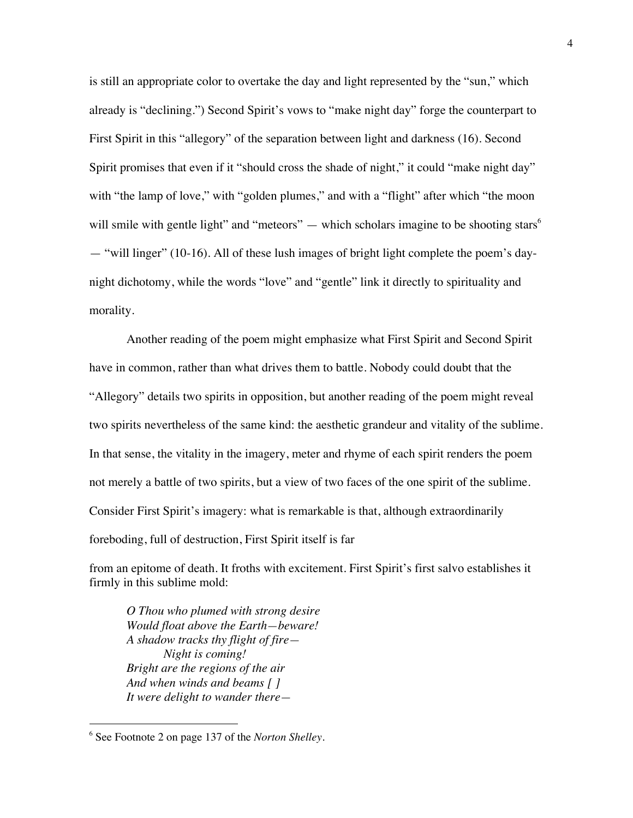is still an appropriate color to overtake the day and light represented by the "sun," which already is "declining.") Second Spirit's vows to "make night day" forge the counterpart to First Spirit in this "allegory" of the separation between light and darkness (16). Second Spirit promises that even if it "should cross the shade of night," it could "make night day" with "the lamp of love," with "golden plumes," and with a "flight" after which "the moon will smile with gentle light" and "meteors" — which scholars imagine to be shooting stars<sup>6</sup> — "will linger" (10-16). All of these lush images of bright light complete the poem's daynight dichotomy, while the words "love" and "gentle" link it directly to spirituality and morality.

Another reading of the poem might emphasize what First Spirit and Second Spirit have in common, rather than what drives them to battle. Nobody could doubt that the "Allegory" details two spirits in opposition, but another reading of the poem might reveal two spirits nevertheless of the same kind: the aesthetic grandeur and vitality of the sublime. In that sense, the vitality in the imagery, meter and rhyme of each spirit renders the poem not merely a battle of two spirits, but a view of two faces of the one spirit of the sublime. Consider First Spirit's imagery: what is remarkable is that, although extraordinarily foreboding, full of destruction, First Spirit itself is far

from an epitome of death. It froths with excitement. First Spirit's first salvo establishes it firmly in this sublime mold:

*O Thou who plumed with strong desire Would float above the Earth—beware! A shadow tracks thy flight of fire— Night is coming! Bright are the regions of the air And when winds and beams [ ] It were delight to wander there—*

<sup>6</sup> See Footnote 2 on page 137 of the *Norton Shelley*.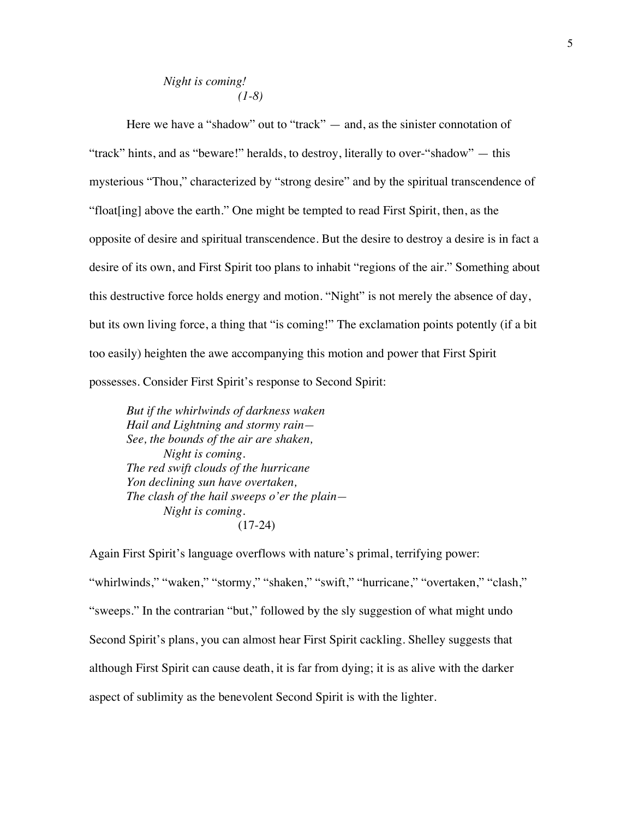# *Night is coming! (1-8)*

Here we have a "shadow" out to "track" — and, as the sinister connotation of "track" hints, and as "beware!" heralds, to destroy, literally to over-"shadow" — this mysterious "Thou," characterized by "strong desire" and by the spiritual transcendence of "float[ing] above the earth." One might be tempted to read First Spirit, then, as the opposite of desire and spiritual transcendence. But the desire to destroy a desire is in fact a desire of its own, and First Spirit too plans to inhabit "regions of the air." Something about this destructive force holds energy and motion. "Night" is not merely the absence of day, but its own living force, a thing that "is coming!" The exclamation points potently (if a bit too easily) heighten the awe accompanying this motion and power that First Spirit possesses. Consider First Spirit's response to Second Spirit:

*But if the whirlwinds of darkness waken Hail and Lightning and stormy rain— See, the bounds of the air are shaken, Night is coming. The red swift clouds of the hurricane Yon declining sun have overtaken, The clash of the hail sweeps o'er the plain— Night is coming.* (17-24)

Again First Spirit's language overflows with nature's primal, terrifying power: "whirlwinds," "waken," "stormy," "shaken," "swift," "hurricane," "overtaken," "clash," "sweeps." In the contrarian "but," followed by the sly suggestion of what might undo Second Spirit's plans, you can almost hear First Spirit cackling. Shelley suggests that although First Spirit can cause death, it is far from dying; it is as alive with the darker aspect of sublimity as the benevolent Second Spirit is with the lighter.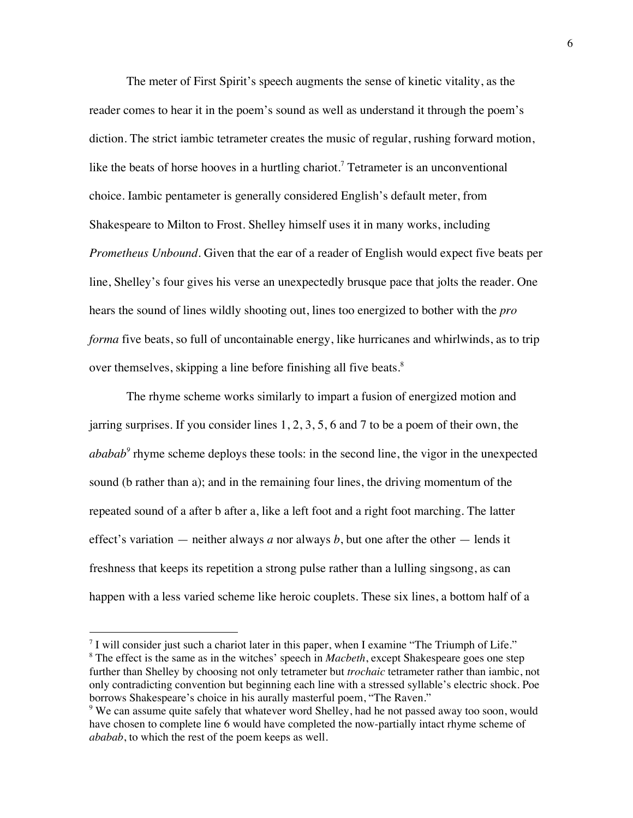The meter of First Spirit's speech augments the sense of kinetic vitality, as the reader comes to hear it in the poem's sound as well as understand it through the poem's diction. The strict iambic tetrameter creates the music of regular, rushing forward motion, like the beats of horse hooves in a hurtling chariot.<sup>7</sup> Tetrameter is an unconventional choice. Iambic pentameter is generally considered English's default meter, from Shakespeare to Milton to Frost. Shelley himself uses it in many works, including *Prometheus Unbound*. Given that the ear of a reader of English would expect five beats per line, Shelley's four gives his verse an unexpectedly brusque pace that jolts the reader. One hears the sound of lines wildly shooting out, lines too energized to bother with the *pro forma* five beats, so full of uncontainable energy, like hurricanes and whirlwinds, as to trip over themselves, skipping a line before finishing all five beats.<sup>8</sup>

The rhyme scheme works similarly to impart a fusion of energized motion and jarring surprises. If you consider lines 1, 2, 3, 5, 6 and 7 to be a poem of their own, the *ababab*<sup>9</sup> rhyme scheme deploys these tools: in the second line, the vigor in the unexpected sound (b rather than a); and in the remaining four lines, the driving momentum of the repeated sound of a after b after a, like a left foot and a right foot marching. The latter effect's variation — neither always *a* nor always *b*, but one after the other — lends it freshness that keeps its repetition a strong pulse rather than a lulling singsong, as can happen with a less varied scheme like heroic couplets. These six lines, a bottom half of a

 $7$  I will consider just such a chariot later in this paper, when I examine "The Triumph of Life." <sup>8</sup> The effect is the same as in the witches' speech in *Macbeth*, except Shakespeare goes one step

further than Shelley by choosing not only tetrameter but *trochaic* tetrameter rather than iambic, not only contradicting convention but beginning each line with a stressed syllable's electric shock. Poe borrows Shakespeare's choice in his aurally masterful poem, "The Raven."

<sup>&</sup>lt;sup>9</sup> We can assume quite safely that whatever word Shelley, had he not passed away too soon, would have chosen to complete line 6 would have completed the now-partially intact rhyme scheme of *ababab*, to which the rest of the poem keeps as well.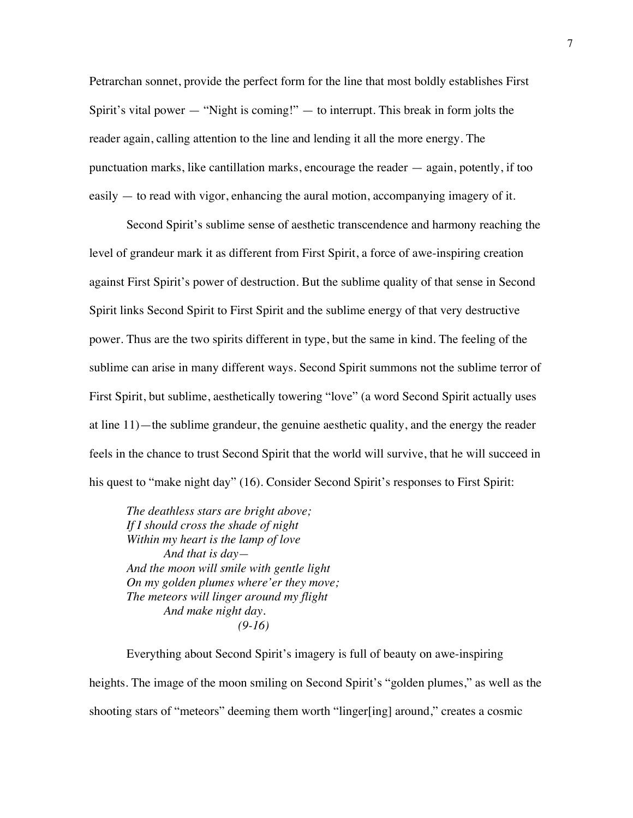Petrarchan sonnet, provide the perfect form for the line that most boldly establishes First Spirit's vital power  $-$  "Night is coming!"  $-$  to interrupt. This break in form jolts the reader again, calling attention to the line and lending it all the more energy. The punctuation marks, like cantillation marks, encourage the reader — again, potently, if too easily — to read with vigor, enhancing the aural motion, accompanying imagery of it.

Second Spirit's sublime sense of aesthetic transcendence and harmony reaching the level of grandeur mark it as different from First Spirit, a force of awe-inspiring creation against First Spirit's power of destruction. But the sublime quality of that sense in Second Spirit links Second Spirit to First Spirit and the sublime energy of that very destructive power. Thus are the two spirits different in type, but the same in kind. The feeling of the sublime can arise in many different ways. Second Spirit summons not the sublime terror of First Spirit, but sublime, aesthetically towering "love" (a word Second Spirit actually uses at line 11)—the sublime grandeur, the genuine aesthetic quality, and the energy the reader feels in the chance to trust Second Spirit that the world will survive, that he will succeed in his quest to "make night day" (16). Consider Second Spirit's responses to First Spirit:

*The deathless stars are bright above; If I should cross the shade of night Within my heart is the lamp of love And that is day— And the moon will smile with gentle light On my golden plumes where'er they move; The meteors will linger around my flight And make night day. (9-16)*

Everything about Second Spirit's imagery is full of beauty on awe-inspiring heights. The image of the moon smiling on Second Spirit's "golden plumes," as well as the shooting stars of "meteors" deeming them worth "linger[ing] around," creates a cosmic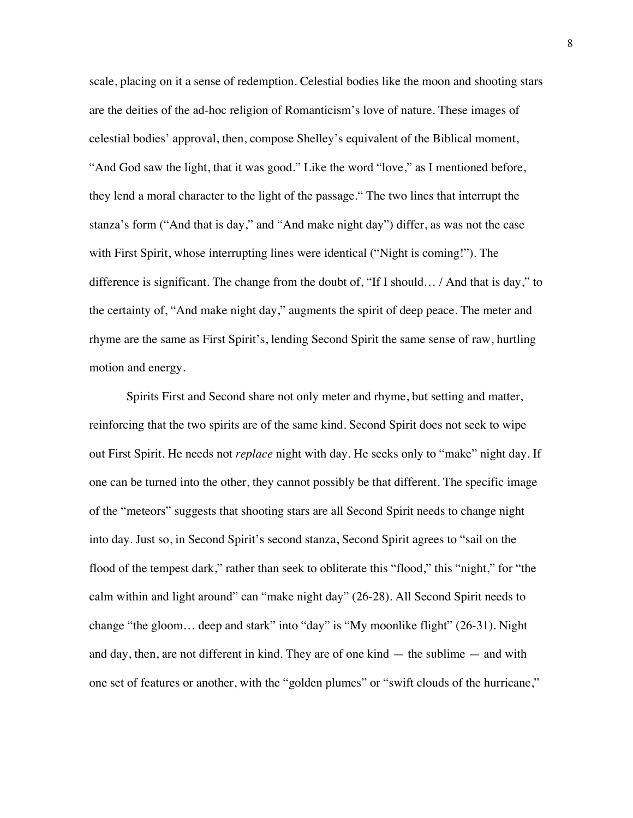scale, placing on it a sense of redemption. Celestial bodies like the moon and shooting stars are the deities of the ad-hoc religion of Romanticism's love of nature. These images of celestial bodies' approval, then, compose Shelley's equivalent of the Biblical moment, "And God saw the light, that it was good." Like the word "love," as I mentioned before, they lend a moral character to the light of the passage." The two lines that interrupt the stanza's form ("And that is day," and "And make night day") differ, as was not the case with First Spirit, whose interrupting lines were identical ("Night is coming!"). The difference is significant. The change from the doubt of, "If I should… / And that is day," to the certainty of, "And make night day," augments the spirit of deep peace. The meter and rhyme are the same as First Spirit's, lending Second Spirit the same sense of raw, hurtling motion and energy.

Spirits First and Second share not only meter and rhyme, but setting and matter, reinforcing that the two spirits are of the same kind. Second Spirit does not seek to wipe out First Spirit. He needs not *replace* night with day. He seeks only to "make" night day. If one can be turned into the other, they cannot possibly be that different. The specific image of the "meteors" suggests that shooting stars are all Second Spirit needs to change night into day. Just so, in Second Spirit's second stanza, Second Spirit agrees to "sail on the flood of the tempest dark," rather than seek to obliterate this "flood," this "night," for "the calm within and light around" can "make night day" (26-28). All Second Spirit needs to change "the gloom… deep and stark" into "day" is "My moonlike flight" (26-31). Night and day, then, are not different in kind. They are of one kind  $-$  the sublime  $-$  and with one set of features or another, with the "golden plumes" or "swift clouds of the hurricane,"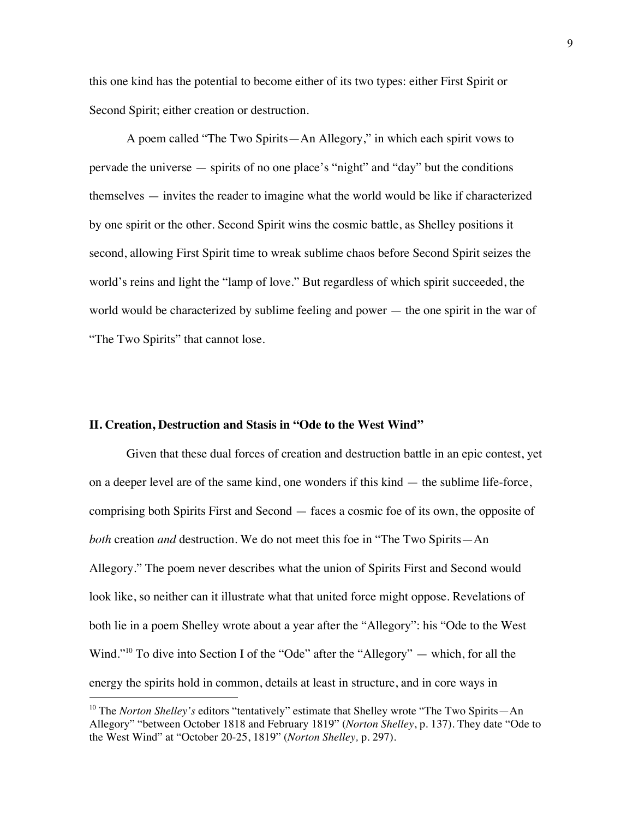this one kind has the potential to become either of its two types: either First Spirit or Second Spirit; either creation or destruction.

A poem called "The Two Spirits—An Allegory," in which each spirit vows to pervade the universe — spirits of no one place's "night" and "day" but the conditions themselves — invites the reader to imagine what the world would be like if characterized by one spirit or the other. Second Spirit wins the cosmic battle, as Shelley positions it second, allowing First Spirit time to wreak sublime chaos before Second Spirit seizes the world's reins and light the "lamp of love." But regardless of which spirit succeeded, the world would be characterized by sublime feeling and power — the one spirit in the war of "The Two Spirits" that cannot lose.

## **II. Creation, Destruction and Stasis in "Ode to the West Wind"**

 $\overline{a}$ 

Given that these dual forces of creation and destruction battle in an epic contest, yet on a deeper level are of the same kind, one wonders if this kind — the sublime life-force, comprising both Spirits First and Second — faces a cosmic foe of its own, the opposite of *both* creation *and* destruction. We do not meet this foe in "The Two Spirits—An Allegory." The poem never describes what the union of Spirits First and Second would look like, so neither can it illustrate what that united force might oppose. Revelations of both lie in a poem Shelley wrote about a year after the "Allegory": his "Ode to the West Wind."<sup>10</sup> To dive into Section I of the "Ode" after the "Allegory" — which, for all the energy the spirits hold in common, details at least in structure, and in core ways in

<sup>&</sup>lt;sup>10</sup> The *Norton Shelley's* editors "tentatively" estimate that Shelley wrote "The Two Spirits—An Allegory" "between October 1818 and February 1819" (*Norton Shelley*, p. 137). They date "Ode to the West Wind" at "October 20-25, 1819" (*Norton Shelley,* p. 297).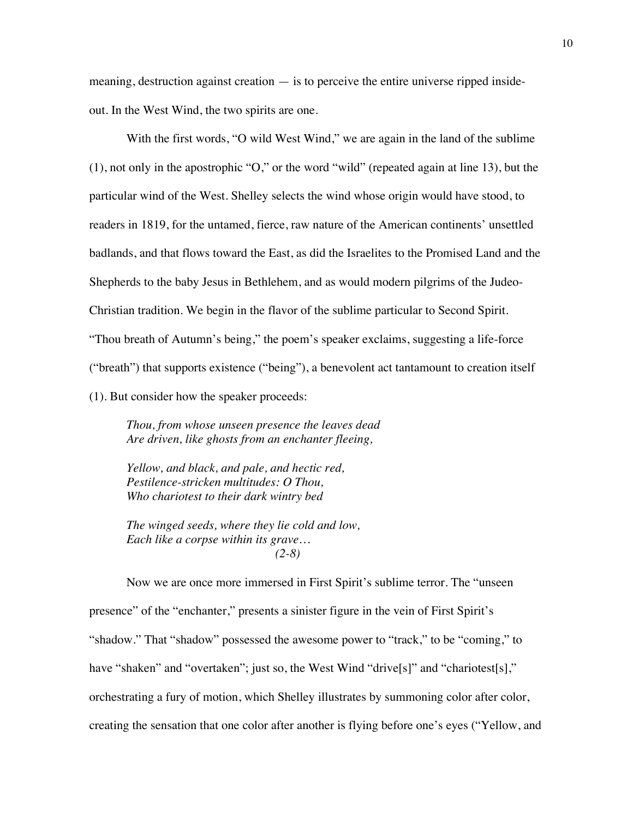meaning, destruction against creation — is to perceive the entire universe ripped insideout. In the West Wind, the two spirits are one.

With the first words, "O wild West Wind," we are again in the land of the sublime (1), not only in the apostrophic "O," or the word "wild" (repeated again at line 13), but the particular wind of the West. Shelley selects the wind whose origin would have stood, to readers in 1819, for the untamed, fierce, raw nature of the American continents' unsettled badlands, and that flows toward the East, as did the Israelites to the Promised Land and the Shepherds to the baby Jesus in Bethlehem, and as would modern pilgrims of the Judeo-Christian tradition. We begin in the flavor of the sublime particular to Second Spirit. "Thou breath of Autumn's being," the poem's speaker exclaims, suggesting a life-force ("breath") that supports existence ("being"), a benevolent act tantamount to creation itself (1). But consider how the speaker proceeds:

*Thou, from whose unseen presence the leaves dead Are driven, like ghosts from an enchanter fleeing,*

*Yellow, and black, and pale, and hectic red, Pestilence-stricken multitudes: O Thou, Who chariotest to their dark wintry bed*

*The winged seeds, where they lie cold and low, Each like a corpse within its grave… (2-8)*

Now we are once more immersed in First Spirit's sublime terror. The "unseen presence" of the "enchanter," presents a sinister figure in the vein of First Spirit's "shadow." That "shadow" possessed the awesome power to "track," to be "coming," to have "shaken" and "overtaken"; just so, the West Wind "drive[s]" and "chariotest[s]," orchestrating a fury of motion, which Shelley illustrates by summoning color after color, creating the sensation that one color after another is flying before one's eyes ("Yellow, and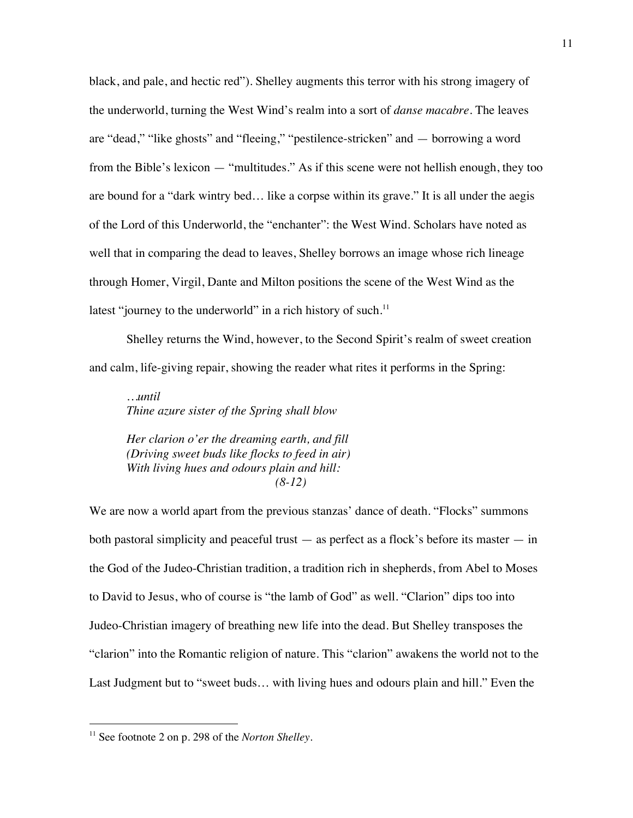black, and pale, and hectic red"). Shelley augments this terror with his strong imagery of the underworld, turning the West Wind's realm into a sort of *danse macabre*. The leaves are "dead," "like ghosts" and "fleeing," "pestilence-stricken" and — borrowing a word from the Bible's lexicon — "multitudes." As if this scene were not hellish enough, they too are bound for a "dark wintry bed… like a corpse within its grave." It is all under the aegis of the Lord of this Underworld, the "enchanter": the West Wind. Scholars have noted as well that in comparing the dead to leaves, Shelley borrows an image whose rich lineage through Homer, Virgil, Dante and Milton positions the scene of the West Wind as the latest "journey to the underworld" in a rich history of such.<sup>11</sup>

Shelley returns the Wind, however, to the Second Spirit's realm of sweet creation and calm, life-giving repair, showing the reader what rites it performs in the Spring:

*…until Thine azure sister of the Spring shall blow*

*Her clarion o'er the dreaming earth, and fill (Driving sweet buds like flocks to feed in air) With living hues and odours plain and hill: (8-12)*

We are now a world apart from the previous stanzas' dance of death. "Flocks" summons both pastoral simplicity and peaceful trust — as perfect as a flock's before its master — in the God of the Judeo-Christian tradition, a tradition rich in shepherds, from Abel to Moses to David to Jesus, who of course is "the lamb of God" as well. "Clarion" dips too into Judeo-Christian imagery of breathing new life into the dead. But Shelley transposes the "clarion" into the Romantic religion of nature. This "clarion" awakens the world not to the Last Judgment but to "sweet buds… with living hues and odours plain and hill." Even the

<sup>11</sup> See footnote 2 on p. 298 of the *Norton Shelley*.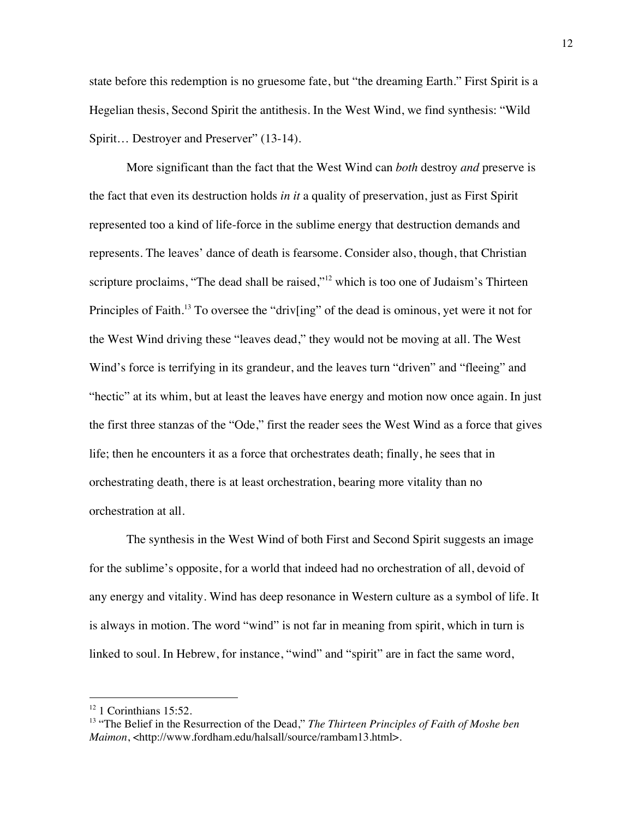state before this redemption is no gruesome fate, but "the dreaming Earth." First Spirit is a Hegelian thesis, Second Spirit the antithesis. In the West Wind, we find synthesis: "Wild Spirit… Destroyer and Preserver" (13-14).

More significant than the fact that the West Wind can *both* destroy *and* preserve is the fact that even its destruction holds *in it* a quality of preservation, just as First Spirit represented too a kind of life-force in the sublime energy that destruction demands and represents. The leaves' dance of death is fearsome. Consider also, though, that Christian scripture proclaims, "The dead shall be raised,"<sup>12</sup> which is too one of Judaism's Thirteen Principles of Faith.<sup>13</sup> To oversee the "driv[ing" of the dead is ominous, yet were it not for the West Wind driving these "leaves dead," they would not be moving at all. The West Wind's force is terrifying in its grandeur, and the leaves turn "driven" and "fleeing" and "hectic" at its whim, but at least the leaves have energy and motion now once again. In just the first three stanzas of the "Ode," first the reader sees the West Wind as a force that gives life; then he encounters it as a force that orchestrates death; finally, he sees that in orchestrating death, there is at least orchestration, bearing more vitality than no orchestration at all.

The synthesis in the West Wind of both First and Second Spirit suggests an image for the sublime's opposite, for a world that indeed had no orchestration of all, devoid of any energy and vitality. Wind has deep resonance in Western culture as a symbol of life. It is always in motion. The word "wind" is not far in meaning from spirit, which in turn is linked to soul. In Hebrew, for instance, "wind" and "spirit" are in fact the same word,

 $12$  1 Corinthians 15:52.

<sup>13 &</sup>quot;The Belief in the Resurrection of the Dead," *The Thirteen Principles of Faith of Moshe ben Maimon*, <http://www.fordham.edu/halsall/source/rambam13.html>.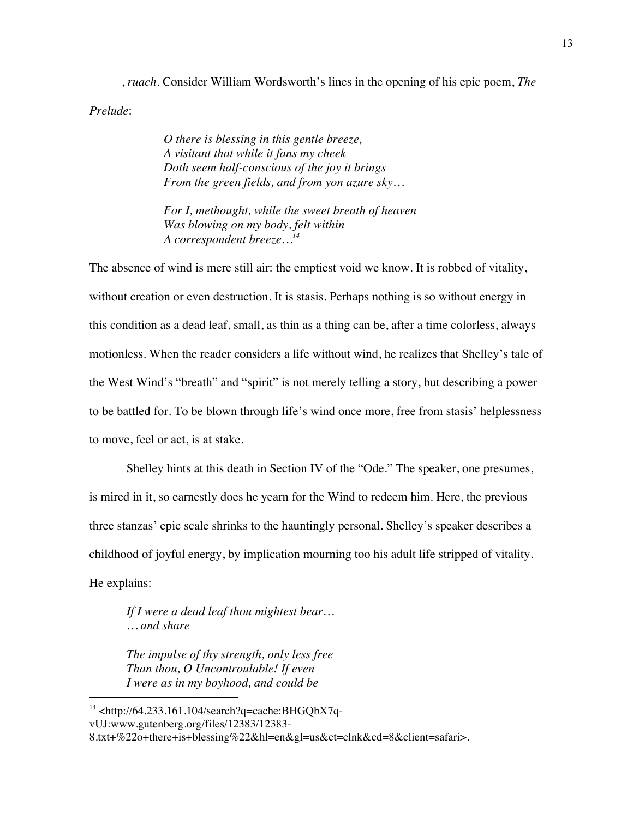, *ruach*. Consider William Wordsworth's lines in the opening of his epic poem, *The Prelude*:

> *O there is blessing in this gentle breeze, A visitant that while it fans my cheek Doth seem half-conscious of the joy it brings From the green fields, and from yon azure sky…*

*For I, methought, while the sweet breath of heaven Was blowing on my body, felt within A correspondent breeze…14*

The absence of wind is mere still air: the emptiest void we know. It is robbed of vitality, without creation or even destruction. It is stasis. Perhaps nothing is so without energy in this condition as a dead leaf, small, as thin as a thing can be, after a time colorless, always motionless. When the reader considers a life without wind, he realizes that Shelley's tale of the West Wind's "breath" and "spirit" is not merely telling a story, but describing a power to be battled for. To be blown through life's wind once more, free from stasis' helplessness to move, feel or act, is at stake.

Shelley hints at this death in Section IV of the "Ode." The speaker, one presumes, is mired in it, so earnestly does he yearn for the Wind to redeem him. Here, the previous three stanzas' epic scale shrinks to the hauntingly personal. Shelley's speaker describes a childhood of joyful energy, by implication mourning too his adult life stripped of vitality. He explains:

*If I were a dead leaf thou mightest bear… … and share*

*The impulse of thy strength, only less free Than thou, O Uncontroulable! If even I were as in my boyhood, and could be*

 $14$  <http://64.233.161.104/search?q=cache:BHGQbX7qvUJ:www.gutenberg.org/files/12383/12383-

<sup>8.</sup>txt+%22o+there+is+blessing%22&hl=en&gl=us&ct=clnk&cd=8&client=safari>.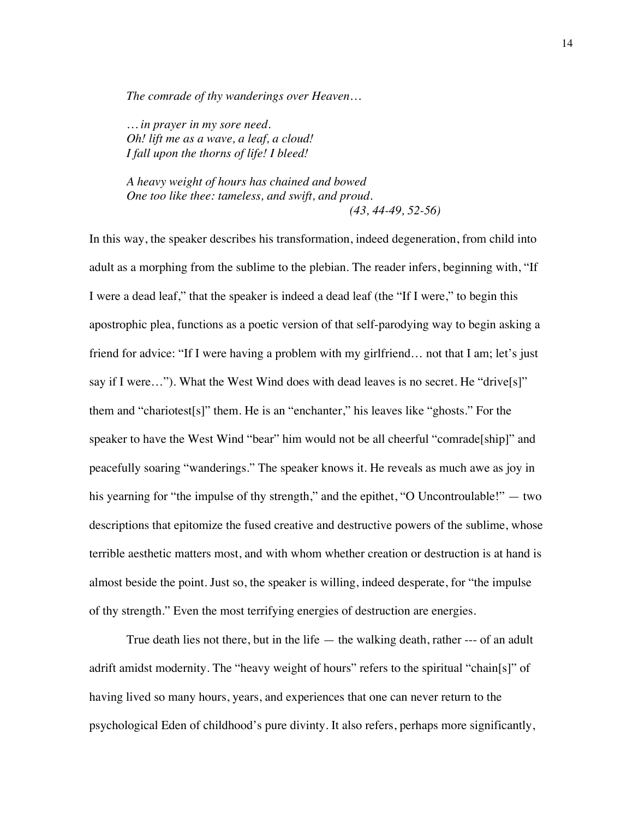*The comrade of thy wanderings over Heaven…*

*… in prayer in my sore need. Oh! lift me as a wave, a leaf, a cloud! I fall upon the thorns of life! I bleed!*

*A heavy weight of hours has chained and bowed One too like thee: tameless, and swift, and proud. (43, 44-49, 52-56)*

In this way, the speaker describes his transformation, indeed degeneration, from child into adult as a morphing from the sublime to the plebian. The reader infers, beginning with, "If I were a dead leaf," that the speaker is indeed a dead leaf (the "If I were," to begin this apostrophic plea, functions as a poetic version of that self-parodying way to begin asking a friend for advice: "If I were having a problem with my girlfriend… not that I am; let's just say if I were…"). What the West Wind does with dead leaves is no secret. He "drive[s]" them and "chariotest[s]" them. He is an "enchanter," his leaves like "ghosts." For the speaker to have the West Wind "bear" him would not be all cheerful "comrade[ship]" and peacefully soaring "wanderings." The speaker knows it. He reveals as much awe as joy in his yearning for "the impulse of thy strength," and the epithet, "O Uncontroulable!" — two descriptions that epitomize the fused creative and destructive powers of the sublime, whose terrible aesthetic matters most, and with whom whether creation or destruction is at hand is almost beside the point. Just so, the speaker is willing, indeed desperate, for "the impulse of thy strength." Even the most terrifying energies of destruction are energies.

True death lies not there, but in the life  $-$  the walking death, rather  $-$ -- of an adult adrift amidst modernity. The "heavy weight of hours" refers to the spiritual "chain[s]" of having lived so many hours, years, and experiences that one can never return to the psychological Eden of childhood's pure divinty. It also refers, perhaps more significantly,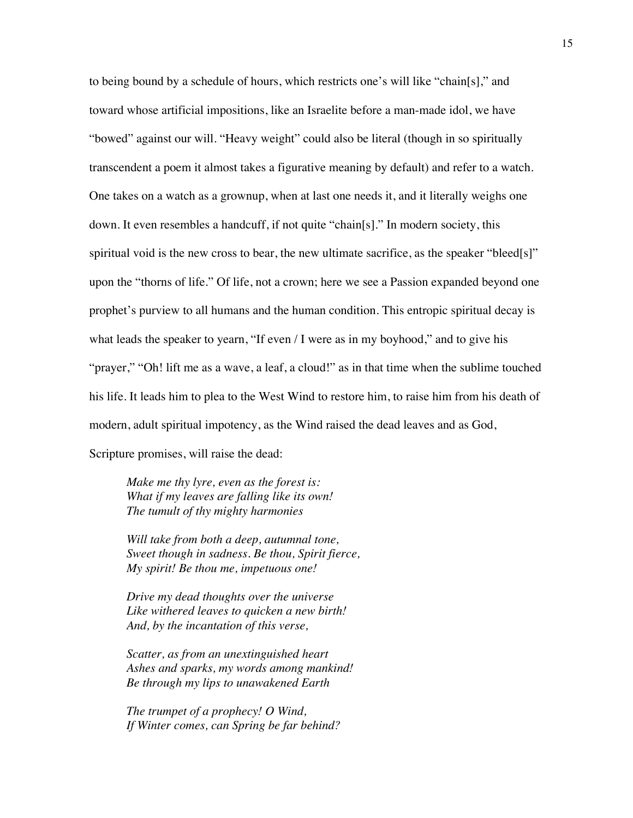to being bound by a schedule of hours, which restricts one's will like "chain[s]," and toward whose artificial impositions, like an Israelite before a man-made idol, we have "bowed" against our will. "Heavy weight" could also be literal (though in so spiritually transcendent a poem it almost takes a figurative meaning by default) and refer to a watch. One takes on a watch as a grownup, when at last one needs it, and it literally weighs one down. It even resembles a handcuff, if not quite "chain[s]." In modern society, this spiritual void is the new cross to bear, the new ultimate sacrifice, as the speaker "bleed[s]" upon the "thorns of life." Of life, not a crown; here we see a Passion expanded beyond one prophet's purview to all humans and the human condition. This entropic spiritual decay is what leads the speaker to yearn, "If even / I were as in my boyhood," and to give his "prayer," "Oh! lift me as a wave, a leaf, a cloud!" as in that time when the sublime touched his life. It leads him to plea to the West Wind to restore him, to raise him from his death of modern, adult spiritual impotency, as the Wind raised the dead leaves and as God,

Scripture promises, will raise the dead:

*Make me thy lyre, even as the forest is: What if my leaves are falling like its own! The tumult of thy mighty harmonies*

*Will take from both a deep, autumnal tone, Sweet though in sadness. Be thou, Spirit fierce, My spirit! Be thou me, impetuous one!*

*Drive my dead thoughts over the universe Like withered leaves to quicken a new birth! And, by the incantation of this verse,*

*Scatter, as from an unextinguished heart Ashes and sparks, my words among mankind! Be through my lips to unawakened Earth*

*The trumpet of a prophecy! O Wind, If Winter comes, can Spring be far behind?*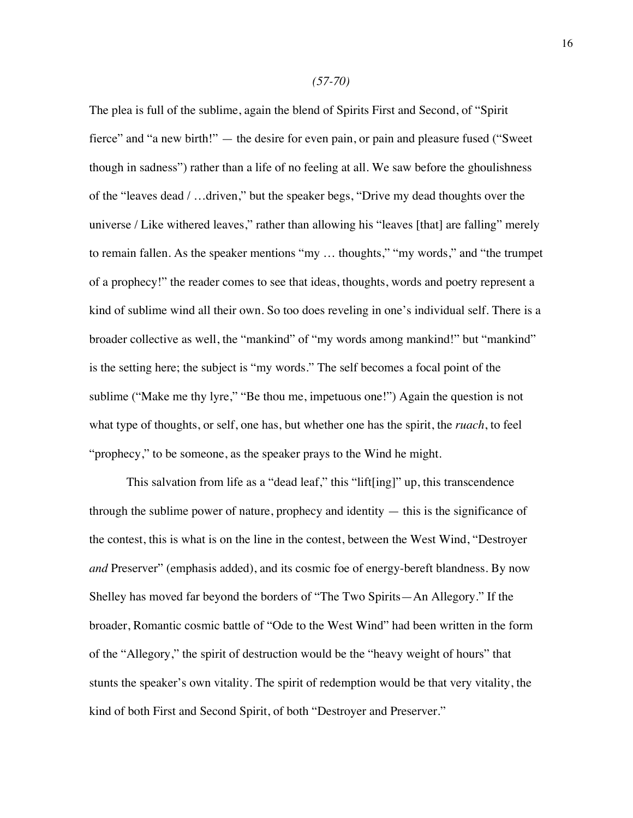The plea is full of the sublime, again the blend of Spirits First and Second, of "Spirit fierce" and "a new birth!" — the desire for even pain, or pain and pleasure fused ("Sweet though in sadness") rather than a life of no feeling at all. We saw before the ghoulishness of the "leaves dead / …driven," but the speaker begs, "Drive my dead thoughts over the universe / Like withered leaves," rather than allowing his "leaves [that] are falling" merely to remain fallen. As the speaker mentions "my … thoughts," "my words," and "the trumpet of a prophecy!" the reader comes to see that ideas, thoughts, words and poetry represent a kind of sublime wind all their own. So too does reveling in one's individual self. There is a broader collective as well, the "mankind" of "my words among mankind!" but "mankind" is the setting here; the subject is "my words." The self becomes a focal point of the sublime ("Make me thy lyre," "Be thou me, impetuous one!") Again the question is not what type of thoughts, or self, one has, but whether one has the spirit, the *ruach*, to feel "prophecy," to be someone, as the speaker prays to the Wind he might.

This salvation from life as a "dead leaf," this "lift[ing]" up, this transcendence through the sublime power of nature, prophecy and identity — this is the significance of the contest, this is what is on the line in the contest, between the West Wind, "Destroyer *and* Preserver" (emphasis added), and its cosmic foe of energy-bereft blandness. By now Shelley has moved far beyond the borders of "The Two Spirits—An Allegory." If the broader, Romantic cosmic battle of "Ode to the West Wind" had been written in the form of the "Allegory," the spirit of destruction would be the "heavy weight of hours" that stunts the speaker's own vitality. The spirit of redemption would be that very vitality, the kind of both First and Second Spirit, of both "Destroyer and Preserver."

#### *(57-70)*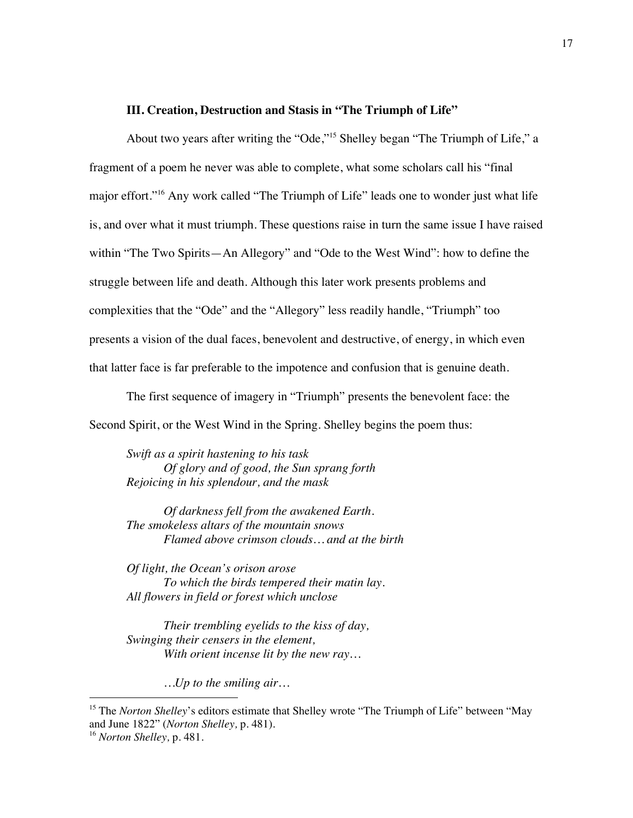## **III. Creation, Destruction and Stasis in "The Triumph of Life"**

About two years after writing the "Ode,"15 Shelley began "The Triumph of Life," a fragment of a poem he never was able to complete, what some scholars call his "final major effort."16 Any work called "The Triumph of Life" leads one to wonder just what life is, and over what it must triumph. These questions raise in turn the same issue I have raised within "The Two Spirits—An Allegory" and "Ode to the West Wind": how to define the struggle between life and death. Although this later work presents problems and complexities that the "Ode" and the "Allegory" less readily handle, "Triumph" too presents a vision of the dual faces, benevolent and destructive, of energy, in which even that latter face is far preferable to the impotence and confusion that is genuine death.

The first sequence of imagery in "Triumph" presents the benevolent face: the Second Spirit, or the West Wind in the Spring. Shelley begins the poem thus:

*Swift as a spirit hastening to his task Of glory and of good, the Sun sprang forth Rejoicing in his splendour, and the mask*

*Of darkness fell from the awakened Earth. The smokeless altars of the mountain snows Flamed above crimson clouds… and at the birth*

*Of light, the Ocean's orison arose To which the birds tempered their matin lay. All flowers in field or forest which unclose*

*Their trembling eyelids to the kiss of day, Swinging their censers in the element, With orient incense lit by the new ray…*

*…Up to the smiling air…*

<sup>&</sup>lt;sup>15</sup> The *Norton Shelley*'s editors estimate that Shelley wrote "The Triumph of Life" between "May and June 1822" (*Norton Shelley,* p. 481).

<sup>16</sup> *Norton Shelley,* p. 481*.*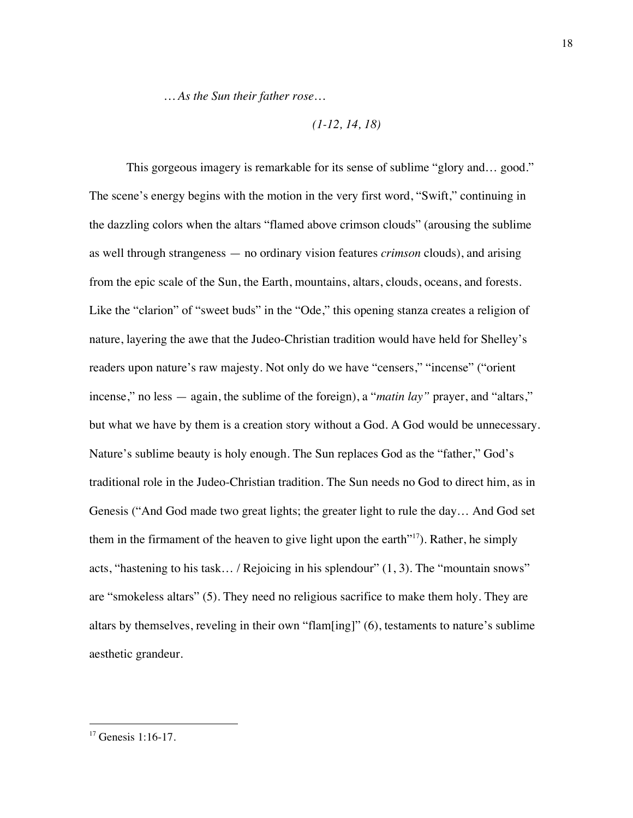*… As the Sun their father rose…*

$$
(1-12, 14, 18)
$$

This gorgeous imagery is remarkable for its sense of sublime "glory and… good." The scene's energy begins with the motion in the very first word, "Swift," continuing in the dazzling colors when the altars "flamed above crimson clouds" (arousing the sublime as well through strangeness — no ordinary vision features *crimson* clouds), and arising from the epic scale of the Sun, the Earth, mountains, altars, clouds, oceans, and forests. Like the "clarion" of "sweet buds" in the "Ode," this opening stanza creates a religion of nature, layering the awe that the Judeo-Christian tradition would have held for Shelley's readers upon nature's raw majesty. Not only do we have "censers," "incense" ("orient incense," no less — again, the sublime of the foreign), a "*matin lay"* prayer, and "altars," but what we have by them is a creation story without a God. A God would be unnecessary. Nature's sublime beauty is holy enough. The Sun replaces God as the "father," God's traditional role in the Judeo-Christian tradition. The Sun needs no God to direct him, as in Genesis ("And God made two great lights; the greater light to rule the day… And God set them in the firmament of the heaven to give light upon the earth $^{\prime\prime\prime\prime}$ . Rather, he simply acts, "hastening to his task… / Rejoicing in his splendour" (1, 3). The "mountain snows" are "smokeless altars" (5). They need no religious sacrifice to make them holy. They are altars by themselves, reveling in their own "flam[ing]" (6), testaments to nature's sublime aesthetic grandeur.

 $17$  Genesis 1:16-17.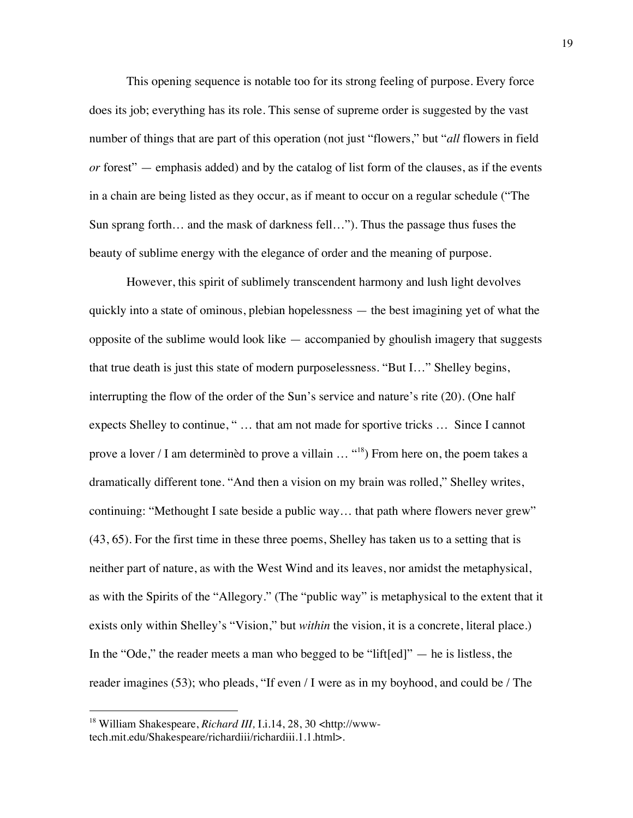This opening sequence is notable too for its strong feeling of purpose. Every force does its job; everything has its role. This sense of supreme order is suggested by the vast number of things that are part of this operation (not just "flowers," but "*all* flowers in field *or* forest" — emphasis added) and by the catalog of list form of the clauses, as if the events in a chain are being listed as they occur, as if meant to occur on a regular schedule ("The Sun sprang forth… and the mask of darkness fell…"). Thus the passage thus fuses the beauty of sublime energy with the elegance of order and the meaning of purpose.

However, this spirit of sublimely transcendent harmony and lush light devolves quickly into a state of ominous, plebian hopelessness — the best imagining yet of what the opposite of the sublime would look like — accompanied by ghoulish imagery that suggests that true death is just this state of modern purposelessness. "But I…" Shelley begins, interrupting the flow of the order of the Sun's service and nature's rite (20). (One half expects Shelley to continue, " … that am not made for sportive tricks … Since I cannot prove a lover / I am determinèd to prove a villain ... "<sup>18</sup>) From here on, the poem takes a dramatically different tone. "And then a vision on my brain was rolled," Shelley writes, continuing: "Methought I sate beside a public way… that path where flowers never grew" (43, 65). For the first time in these three poems, Shelley has taken us to a setting that is neither part of nature, as with the West Wind and its leaves, nor amidst the metaphysical, as with the Spirits of the "Allegory." (The "public way" is metaphysical to the extent that it exists only within Shelley's "Vision," but *within* the vision, it is a concrete, literal place.) In the "Ode," the reader meets a man who begged to be "lift[ed]" — he is listless, the reader imagines (53); who pleads, "If even / I were as in my boyhood, and could be / The

<sup>18</sup> William Shakespeare, *Richard III,* I.i.14, 28, 30 <http://wwwtech.mit.edu/Shakespeare/richardiii/richardiii.1.1.html>.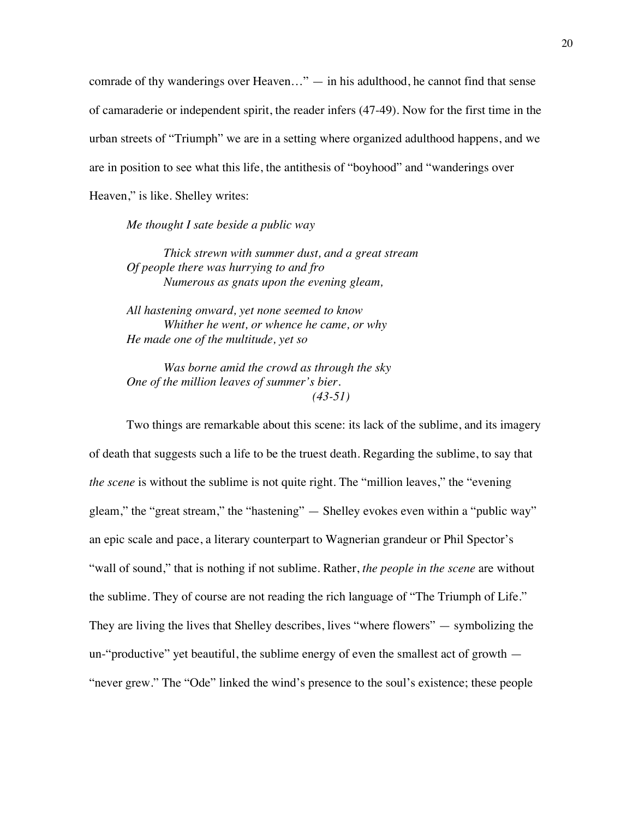comrade of thy wanderings over Heaven..."  $-$  in his adulthood, he cannot find that sense of camaraderie or independent spirit, the reader infers (47-49). Now for the first time in the urban streets of "Triumph" we are in a setting where organized adulthood happens, and we are in position to see what this life, the antithesis of "boyhood" and "wanderings over Heaven," is like. Shelley writes:

*Me thought I sate beside a public way*

*Thick strewn with summer dust, and a great stream Of people there was hurrying to and fro Numerous as gnats upon the evening gleam,*

*All hastening onward, yet none seemed to know Whither he went, or whence he came, or why He made one of the multitude, yet so*

*Was borne amid the crowd as through the sky One of the million leaves of summer's bier. (43-51)*

Two things are remarkable about this scene: its lack of the sublime, and its imagery of death that suggests such a life to be the truest death. Regarding the sublime, to say that *the scene* is without the sublime is not quite right. The "million leaves," the "evening" gleam," the "great stream," the "hastening" — Shelley evokes even within a "public way" an epic scale and pace, a literary counterpart to Wagnerian grandeur or Phil Spector's "wall of sound," that is nothing if not sublime. Rather, *the people in the scene* are without the sublime. They of course are not reading the rich language of "The Triumph of Life." They are living the lives that Shelley describes, lives "where flowers" — symbolizing the un-"productive" yet beautiful, the sublime energy of even the smallest act of growth — "never grew." The "Ode" linked the wind's presence to the soul's existence; these people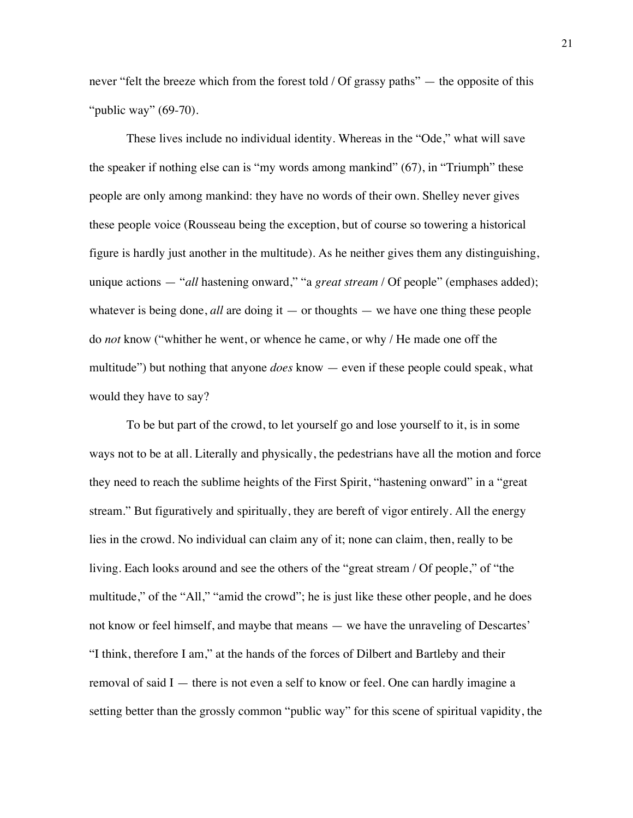never "felt the breeze which from the forest told / Of grassy paths" — the opposite of this "*public way*" (69-70).

These lives include no individual identity. Whereas in the "Ode," what will save the speaker if nothing else can is "my words among mankind" (67), in "Triumph" these people are only among mankind: they have no words of their own. Shelley never gives these people voice (Rousseau being the exception, but of course so towering a historical figure is hardly just another in the multitude). As he neither gives them any distinguishing, unique actions — "*all* hastening onward," "a *great stream* / Of people" (emphases added); whatever is being done,  $all$  are doing it — or thoughts — we have one thing these people do *not* know ("whither he went, or whence he came, or why / He made one off the multitude") but nothing that anyone *does* know — even if these people could speak, what would they have to say?

To be but part of the crowd, to let yourself go and lose yourself to it, is in some ways not to be at all. Literally and physically, the pedestrians have all the motion and force they need to reach the sublime heights of the First Spirit, "hastening onward" in a "great stream." But figuratively and spiritually, they are bereft of vigor entirely. All the energy lies in the crowd. No individual can claim any of it; none can claim, then, really to be living. Each looks around and see the others of the "great stream / Of people," of "the multitude," of the "All," "amid the crowd"; he is just like these other people, and he does not know or feel himself, and maybe that means — we have the unraveling of Descartes' "I think, therefore I am," at the hands of the forces of Dilbert and Bartleby and their removal of said  $I$  — there is not even a self to know or feel. One can hardly imagine a setting better than the grossly common "public way" for this scene of spiritual vapidity, the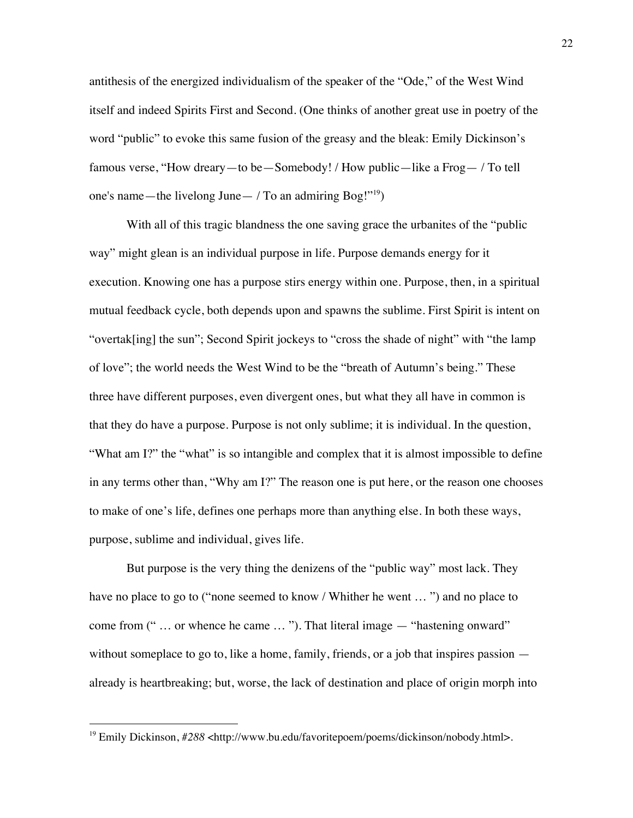antithesis of the energized individualism of the speaker of the "Ode," of the West Wind itself and indeed Spirits First and Second. (One thinks of another great use in poetry of the word "public" to evoke this same fusion of the greasy and the bleak: Emily Dickinson's famous verse, "How dreary—to be—Somebody! / How public—like a Frog— / To tell one's name—the livelong June— / To an admiring  $\text{Bog}$ !"<sup>19</sup>)

With all of this tragic blandness the one saving grace the urbanites of the "public" way" might glean is an individual purpose in life. Purpose demands energy for it execution. Knowing one has a purpose stirs energy within one. Purpose, then, in a spiritual mutual feedback cycle, both depends upon and spawns the sublime. First Spirit is intent on "overtak[ing] the sun"; Second Spirit jockeys to "cross the shade of night" with "the lamp of love"; the world needs the West Wind to be the "breath of Autumn's being." These three have different purposes, even divergent ones, but what they all have in common is that they do have a purpose. Purpose is not only sublime; it is individual. In the question, "What am I?" the "what" is so intangible and complex that it is almost impossible to define in any terms other than, "Why am I?" The reason one is put here, or the reason one chooses to make of one's life, defines one perhaps more than anything else. In both these ways, purpose, sublime and individual, gives life.

But purpose is the very thing the denizens of the "public way" most lack. They have no place to go to ("none seemed to know / Whither he went … ") and no place to come from (" … or whence he came … "). That literal image — "hastening onward" without someplace to go to, like a home, family, friends, or a job that inspires passion  $$ already is heartbreaking; but, worse, the lack of destination and place of origin morph into

<sup>&</sup>lt;sup>19</sup> Emily Dickinson, #288 <http://www.bu.edu/favoritepoem/poems/dickinson/nobody.html>.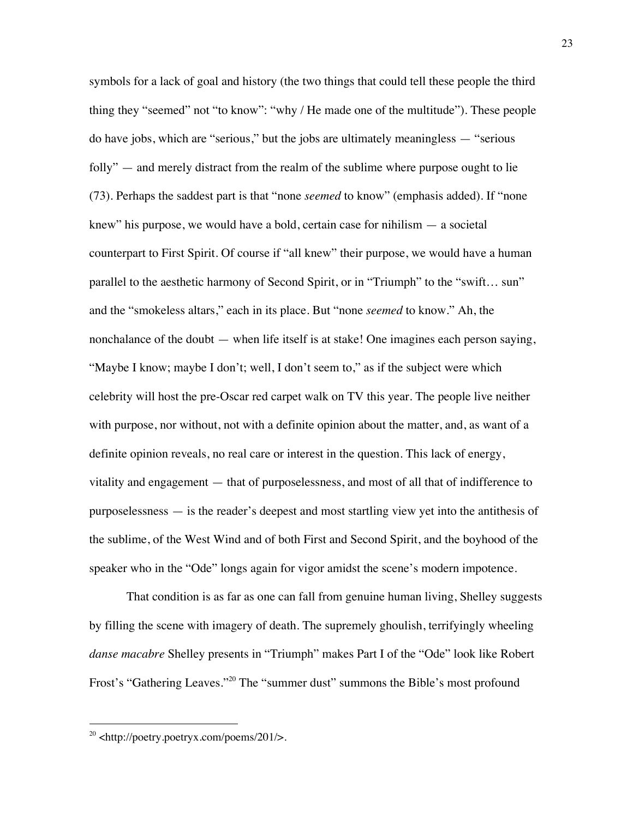symbols for a lack of goal and history (the two things that could tell these people the third thing they "seemed" not "to know": "why / He made one of the multitude"). These people do have jobs, which are "serious," but the jobs are ultimately meaningless — "serious folly" — and merely distract from the realm of the sublime where purpose ought to lie (73). Perhaps the saddest part is that "none *seemed* to know" (emphasis added). If "none knew" his purpose, we would have a bold, certain case for nihilism — a societal counterpart to First Spirit. Of course if "all knew" their purpose, we would have a human parallel to the aesthetic harmony of Second Spirit, or in "Triumph" to the "swift… sun" and the "smokeless altars," each in its place. But "none *seemed* to know." Ah, the nonchalance of the doubt — when life itself is at stake! One imagines each person saying, "Maybe I know; maybe I don't; well, I don't seem to," as if the subject were which celebrity will host the pre-Oscar red carpet walk on TV this year. The people live neither with purpose, nor without, not with a definite opinion about the matter, and, as want of a definite opinion reveals, no real care or interest in the question. This lack of energy, vitality and engagement — that of purposelessness, and most of all that of indifference to purposelessness — is the reader's deepest and most startling view yet into the antithesis of the sublime, of the West Wind and of both First and Second Spirit, and the boyhood of the speaker who in the "Ode" longs again for vigor amidst the scene's modern impotence.

That condition is as far as one can fall from genuine human living, Shelley suggests by filling the scene with imagery of death. The supremely ghoulish, terrifyingly wheeling *danse macabre* Shelley presents in "Triumph" makes Part I of the "Ode" look like Robert Frost's "Gathering Leaves."20 The "summer dust" summons the Bible's most profound

 $^{20}$  <http://poetry.poetryx.com/poems/201/>.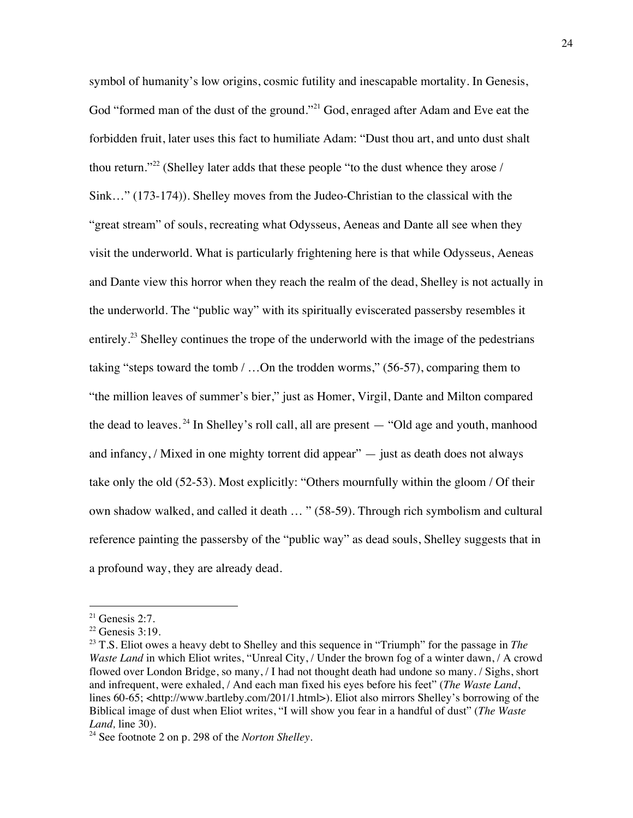symbol of humanity's low origins, cosmic futility and inescapable mortality. In Genesis, God "formed man of the dust of the ground."<sup>21</sup> God, enraged after Adam and Eve eat the forbidden fruit, later uses this fact to humiliate Adam: "Dust thou art, and unto dust shalt thou return."<sup>22</sup> (Shelley later adds that these people "to the dust whence they arose / Sink…" (173-174)). Shelley moves from the Judeo-Christian to the classical with the "great stream" of souls, recreating what Odysseus, Aeneas and Dante all see when they visit the underworld. What is particularly frightening here is that while Odysseus, Aeneas and Dante view this horror when they reach the realm of the dead, Shelley is not actually in the underworld. The "public way" with its spiritually eviscerated passersby resembles it entirely.<sup>23</sup> Shelley continues the trope of the underworld with the image of the pedestrians taking "steps toward the tomb / …On the trodden worms," (56-57), comparing them to "the million leaves of summer's bier," just as Homer, Virgil, Dante and Milton compared the dead to leaves.<sup>24</sup> In Shelley's roll call, all are present  $-$  "Old age and youth, manhood and infancy, / Mixed in one mighty torrent did appear" — just as death does not always take only the old (52-53). Most explicitly: "Others mournfully within the gloom / Of their own shadow walked, and called it death … " (58-59). Through rich symbolism and cultural reference painting the passersby of the "public way" as dead souls, Shelley suggests that in a profound way, they are already dead.

 $21$  Genesis 2:7.

 $22$  Genesis 3:19.

<sup>23</sup> T.S. Eliot owes a heavy debt to Shelley and this sequence in "Triumph" for the passage in *The Waste Land* in which Eliot writes, "Unreal City, / Under the brown fog of a winter dawn, / A crowd flowed over London Bridge, so many, / I had not thought death had undone so many. / Sighs, short and infrequent, were exhaled, / And each man fixed his eyes before his feet" (*The Waste Land*, lines 60-65; <http://www.bartleby.com/201/1.html>). Eliot also mirrors Shelley's borrowing of the Biblical image of dust when Eliot writes, "I will show you fear in a handful of dust" (*The Waste Land, line 30).* 

<sup>24</sup> See footnote 2 on p. 298 of the *Norton Shelley*.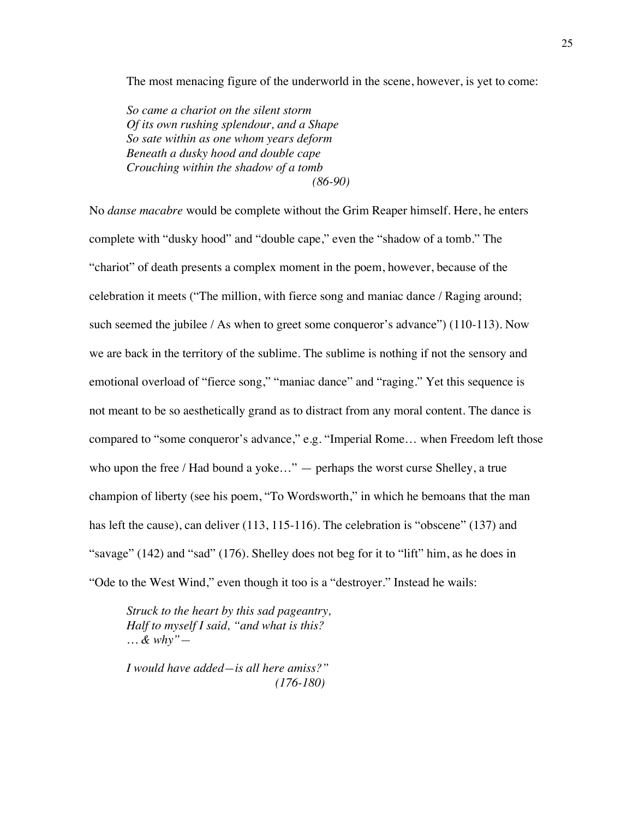The most menacing figure of the underworld in the scene, however, is yet to come:

*So came a chariot on the silent storm Of its own rushing splendour, and a Shape So sate within as one whom years deform Beneath a dusky hood and double cape Crouching within the shadow of a tomb (86-90)*

No *danse macabre* would be complete without the Grim Reaper himself. Here, he enters complete with "dusky hood" and "double cape," even the "shadow of a tomb." The "chariot" of death presents a complex moment in the poem, however, because of the celebration it meets ("The million, with fierce song and maniac dance / Raging around; such seemed the jubilee / As when to greet some conqueror's advance") (110-113). Now we are back in the territory of the sublime. The sublime is nothing if not the sensory and emotional overload of "fierce song," "maniac dance" and "raging." Yet this sequence is not meant to be so aesthetically grand as to distract from any moral content. The dance is compared to "some conqueror's advance," e.g. "Imperial Rome… when Freedom left those who upon the free / Had bound a yoke..." — perhaps the worst curse Shelley, a true champion of liberty (see his poem, "To Wordsworth," in which he bemoans that the man has left the cause), can deliver (113, 115-116). The celebration is "obscene" (137) and "savage" (142) and "sad" (176). Shelley does not beg for it to "lift" him, as he does in "Ode to the West Wind," even though it too is a "destroyer." Instead he wails:

*Struck to the heart by this sad pageantry, Half to myself I said, "and what is this? … & why"—*

*I would have added—is all here amiss?" (176-180)*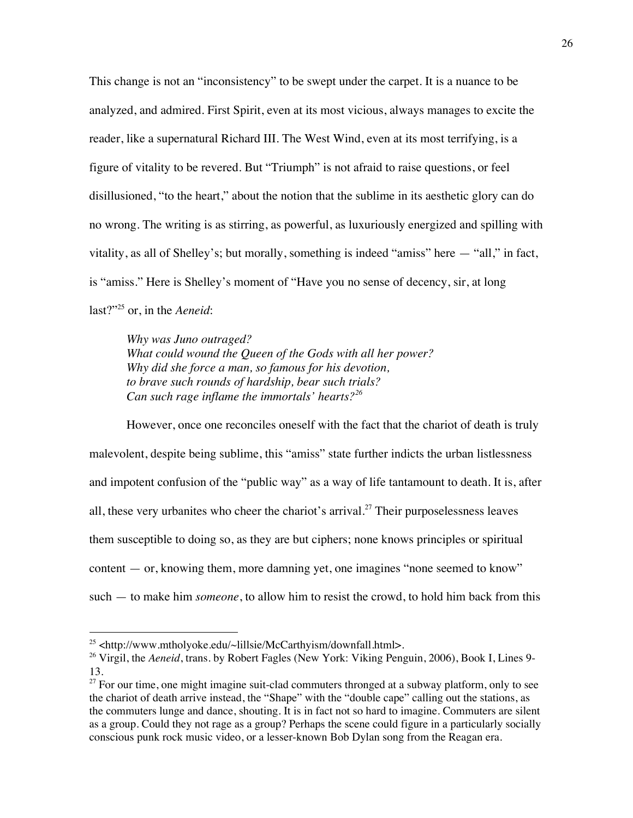This change is not an "inconsistency" to be swept under the carpet. It is a nuance to be analyzed, and admired. First Spirit, even at its most vicious, always manages to excite the reader, like a supernatural Richard III. The West Wind, even at its most terrifying, is a figure of vitality to be revered. But "Triumph" is not afraid to raise questions, or feel disillusioned, "to the heart," about the notion that the sublime in its aesthetic glory can do no wrong. The writing is as stirring, as powerful, as luxuriously energized and spilling with vitality, as all of Shelley's; but morally, something is indeed "amiss" here — "all," in fact, is "amiss." Here is Shelley's moment of "Have you no sense of decency, sir, at long last?"25 or, in the *Aeneid*:

*Why was Juno outraged? What could wound the Queen of the Gods with all her power? Why did she force a man, so famous for his devotion, to brave such rounds of hardship, bear such trials? Can such rage inflame the immortals' hearts?26*

However, once one reconciles oneself with the fact that the chariot of death is truly malevolent, despite being sublime, this "amiss" state further indicts the urban listlessness and impotent confusion of the "public way" as a way of life tantamount to death. It is, after all, these very urbanites who cheer the chariot's arrival.<sup>27</sup> Their purposelessness leaves them susceptible to doing so, as they are but ciphers; none knows principles or spiritual content — or, knowing them, more damning yet, one imagines "none seemed to know" such — to make him *someone*, to allow him to resist the crowd, to hold him back from this

 $^{25}$  <http://www.mtholyoke.edu/~lillsie/McCarthyism/downfall.html>.

<sup>&</sup>lt;sup>26</sup> Virgil, the *Aeneid*, trans. by Robert Fagles (New York: Viking Penguin, 2006), Book I, Lines 9-13.

 $27$  For our time, one might imagine suit-clad commuters thronged at a subway platform, only to see the chariot of death arrive instead, the "Shape" with the "double cape" calling out the stations, as the commuters lunge and dance, shouting. It is in fact not so hard to imagine. Commuters are silent as a group. Could they not rage as a group? Perhaps the scene could figure in a particularly socially conscious punk rock music video, or a lesser-known Bob Dylan song from the Reagan era.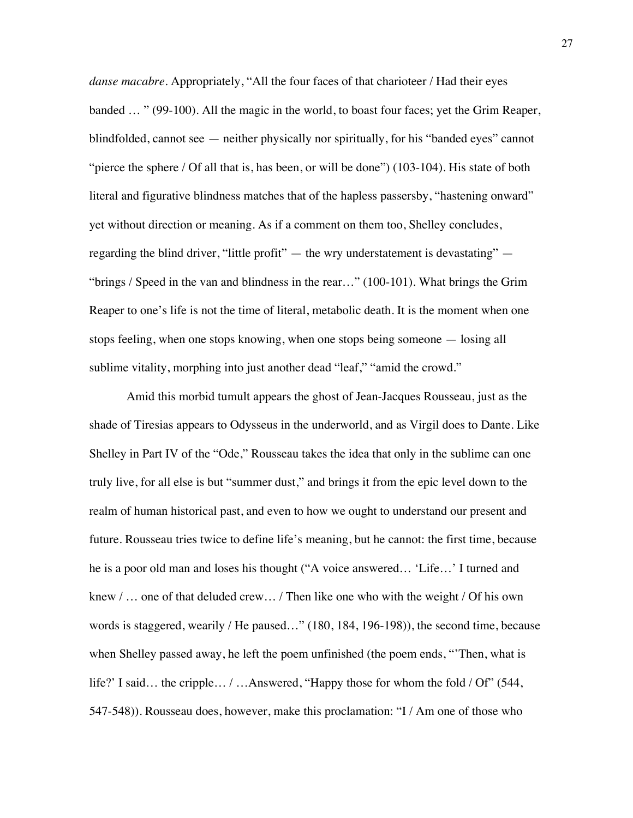*danse macabre*. Appropriately, "All the four faces of that charioteer / Had their eyes banded … " (99-100). All the magic in the world, to boast four faces; yet the Grim Reaper, blindfolded, cannot see — neither physically nor spiritually, for his "banded eyes" cannot "pierce the sphere / Of all that is, has been, or will be done") (103-104). His state of both literal and figurative blindness matches that of the hapless passersby, "hastening onward" yet without direction or meaning. As if a comment on them too, Shelley concludes, regarding the blind driver, "little profit" — the wry understatement is devastating" — "brings / Speed in the van and blindness in the rear…" (100-101). What brings the Grim Reaper to one's life is not the time of literal, metabolic death. It is the moment when one stops feeling, when one stops knowing, when one stops being someone — losing all sublime vitality, morphing into just another dead "leaf," "amid the crowd."

Amid this morbid tumult appears the ghost of Jean-Jacques Rousseau, just as the shade of Tiresias appears to Odysseus in the underworld, and as Virgil does to Dante. Like Shelley in Part IV of the "Ode," Rousseau takes the idea that only in the sublime can one truly live, for all else is but "summer dust," and brings it from the epic level down to the realm of human historical past, and even to how we ought to understand our present and future. Rousseau tries twice to define life's meaning, but he cannot: the first time, because he is a poor old man and loses his thought ("A voice answered… 'Life…' I turned and knew / … one of that deluded crew… / Then like one who with the weight / Of his own words is staggered, wearily / He paused…" (180, 184, 196-198)), the second time, because when Shelley passed away, he left the poem unfinished (the poem ends, "'Then, what is life?' I said... the cripple... / ...Answered, "Happy those for whom the fold / Of" (544, 547-548)). Rousseau does, however, make this proclamation: "I / Am one of those who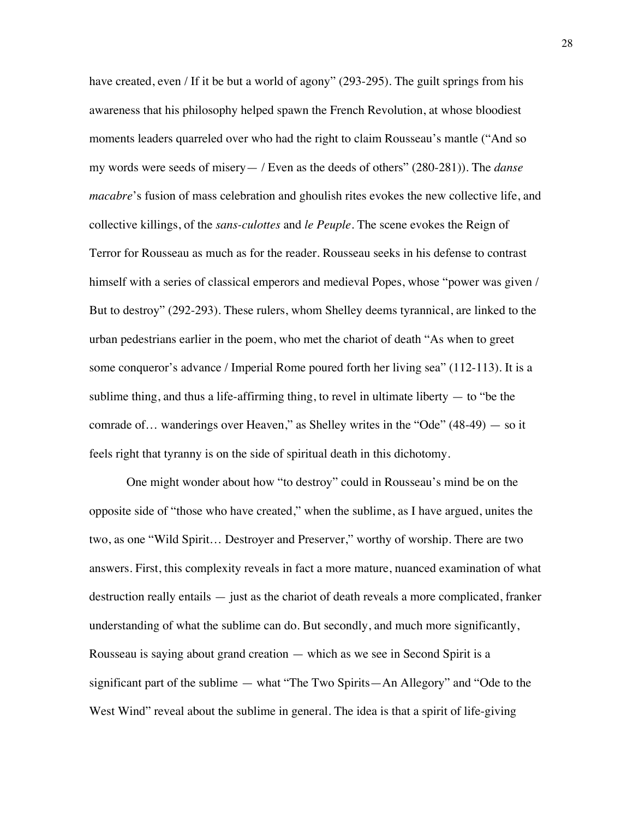have created, even / If it be but a world of agony" (293-295). The guilt springs from his awareness that his philosophy helped spawn the French Revolution, at whose bloodiest moments leaders quarreled over who had the right to claim Rousseau's mantle ("And so my words were seeds of misery— / Even as the deeds of others" (280-281)). The *danse macabre*'s fusion of mass celebration and ghoulish rites evokes the new collective life, and collective killings, of the *sans-culottes* and *le Peuple*. The scene evokes the Reign of Terror for Rousseau as much as for the reader. Rousseau seeks in his defense to contrast himself with a series of classical emperors and medieval Popes, whose "power was given / But to destroy" (292-293). These rulers, whom Shelley deems tyrannical, are linked to the urban pedestrians earlier in the poem, who met the chariot of death "As when to greet some conqueror's advance / Imperial Rome poured forth her living sea" (112-113). It is a sublime thing, and thus a life-affirming thing, to revel in ultimate liberty  $-$  to "be the comrade of… wanderings over Heaven," as Shelley writes in the "Ode" (48-49) — so it feels right that tyranny is on the side of spiritual death in this dichotomy.

One might wonder about how "to destroy" could in Rousseau's mind be on the opposite side of "those who have created," when the sublime, as I have argued, unites the two, as one "Wild Spirit… Destroyer and Preserver," worthy of worship. There are two answers. First, this complexity reveals in fact a more mature, nuanced examination of what destruction really entails — just as the chariot of death reveals a more complicated, franker understanding of what the sublime can do. But secondly, and much more significantly, Rousseau is saying about grand creation — which as we see in Second Spirit is a significant part of the sublime — what "The Two Spirits—An Allegory" and "Ode to the West Wind" reveal about the sublime in general. The idea is that a spirit of life-giving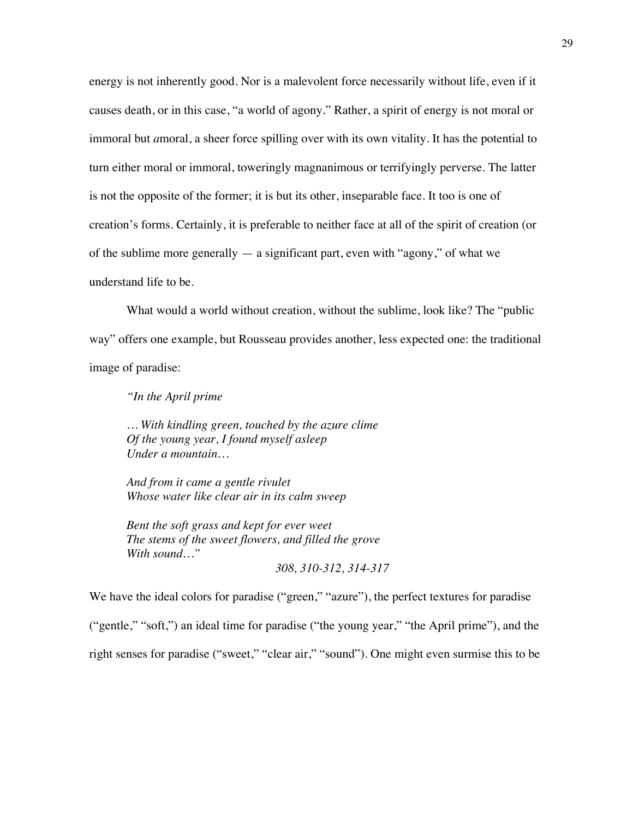energy is not inherently good. Nor is a malevolent force necessarily without life, even if it causes death, or in this case, "a world of agony." Rather, a spirit of energy is not moral or immoral but *a*moral, a sheer force spilling over with its own vitality. It has the potential to turn either moral or immoral, toweringly magnanimous or terrifyingly perverse. The latter is not the opposite of the former; it is but its other, inseparable face. It too is one of creation's forms. Certainly, it is preferable to neither face at all of the spirit of creation (or of the sublime more generally  $-$  a significant part, even with "agony," of what we understand life to be.

What would a world without creation, without the sublime, look like? The "public" way" offers one example, but Rousseau provides another, less expected one: the traditional image of paradise:

*"In the April prime*

*… With kindling green, touched by the azure clime Of the young year, I found myself asleep Under a mountain…*

*And from it came a gentle rivulet Whose water like clear air in its calm sweep*

*Bent the soft grass and kept for ever weet The stems of the sweet flowers, and filled the grove With sound…"*

*308, 310-312, 314-317*

We have the ideal colors for paradise ("green," "azure"), the perfect textures for paradise

("gentle," "soft,") an ideal time for paradise ("the young year," "the April prime"), and the

right senses for paradise ("sweet," "clear air," "sound"). One might even surmise this to be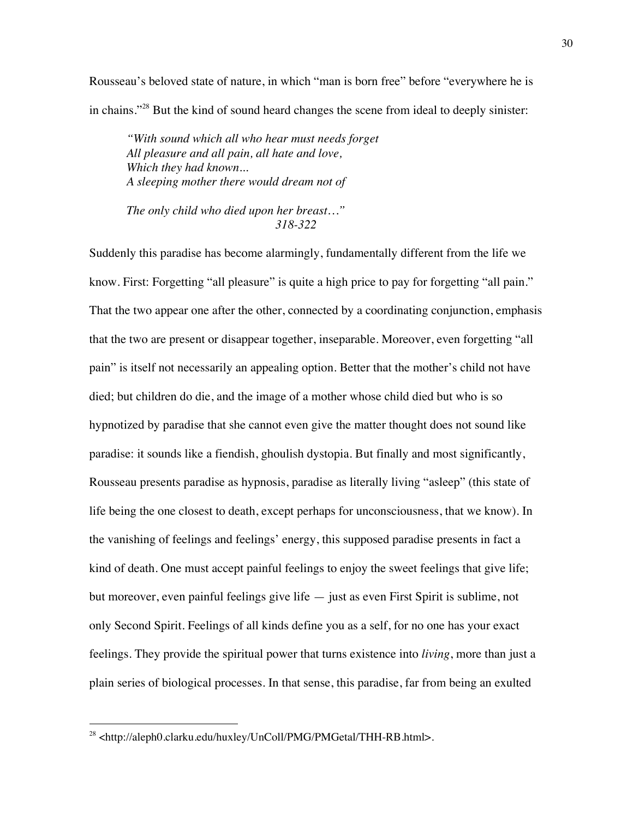Rousseau's beloved state of nature, in which "man is born free" before "everywhere he is in chains."28 But the kind of sound heard changes the scene from ideal to deeply sinister:

*"With sound which all who hear must needs forget All pleasure and all pain, all hate and love, Which they had known... A sleeping mother there would dream not of*

*The only child who died upon her breast…" 318-322*

Suddenly this paradise has become alarmingly, fundamentally different from the life we know. First: Forgetting "all pleasure" is quite a high price to pay for forgetting "all pain." That the two appear one after the other, connected by a coordinating conjunction, emphasis that the two are present or disappear together, inseparable. Moreover, even forgetting "all pain" is itself not necessarily an appealing option. Better that the mother's child not have died; but children do die, and the image of a mother whose child died but who is so hypnotized by paradise that she cannot even give the matter thought does not sound like paradise: it sounds like a fiendish, ghoulish dystopia. But finally and most significantly, Rousseau presents paradise as hypnosis, paradise as literally living "asleep" (this state of life being the one closest to death, except perhaps for unconsciousness, that we know). In the vanishing of feelings and feelings' energy, this supposed paradise presents in fact a kind of death. One must accept painful feelings to enjoy the sweet feelings that give life; but moreover, even painful feelings give life — just as even First Spirit is sublime, not only Second Spirit. Feelings of all kinds define you as a self, for no one has your exact feelings. They provide the spiritual power that turns existence into *living*, more than just a plain series of biological processes. In that sense, this paradise, far from being an exulted

<sup>28 &</sup>lt;http://aleph0.clarku.edu/huxley/UnColl/PMG/PMGetal/THH-RB.html>.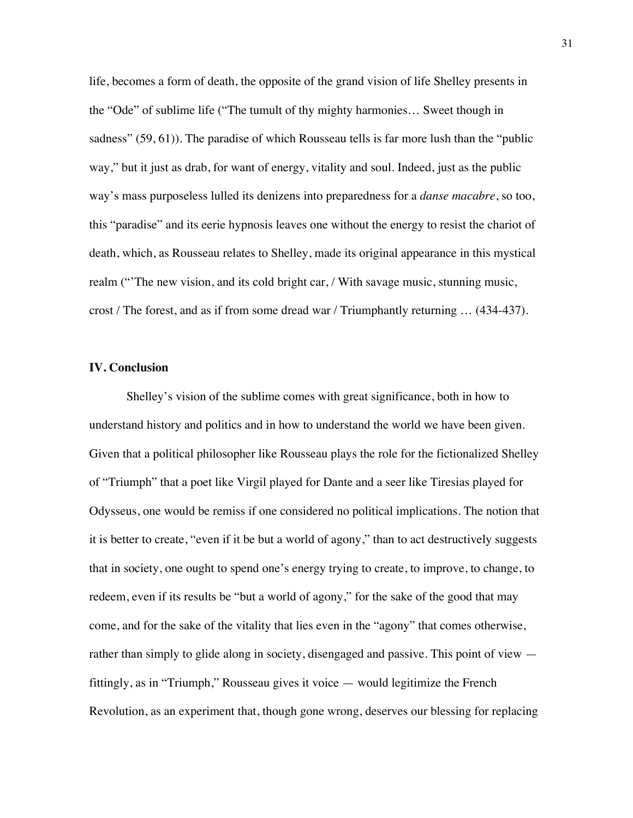life, becomes a form of death, the opposite of the grand vision of life Shelley presents in the "Ode" of sublime life ("The tumult of thy mighty harmonies… Sweet though in sadness" (59, 61)). The paradise of which Rousseau tells is far more lush than the "public way," but it just as drab, for want of energy, vitality and soul. Indeed, just as the public way's mass purposeless lulled its denizens into preparedness for a *danse macabre*, so too, this "paradise" and its eerie hypnosis leaves one without the energy to resist the chariot of death, which, as Rousseau relates to Shelley, made its original appearance in this mystical realm ("The new vision, and its cold bright car, / With savage music, stunning music, crost / The forest, and as if from some dread war / Triumphantly returning … (434-437).

### **IV. Conclusion**

Shelley's vision of the sublime comes with great significance, both in how to understand history and politics and in how to understand the world we have been given. Given that a political philosopher like Rousseau plays the role for the fictionalized Shelley of "Triumph" that a poet like Virgil played for Dante and a seer like Tiresias played for Odysseus, one would be remiss if one considered no political implications. The notion that it is better to create, "even if it be but a world of agony," than to act destructively suggests that in society, one ought to spend one's energy trying to create, to improve, to change, to redeem, even if its results be "but a world of agony," for the sake of the good that may come, and for the sake of the vitality that lies even in the "agony" that comes otherwise, rather than simply to glide along in society, disengaged and passive. This point of view fittingly, as in "Triumph," Rousseau gives it voice — would legitimize the French Revolution, as an experiment that, though gone wrong, deserves our blessing for replacing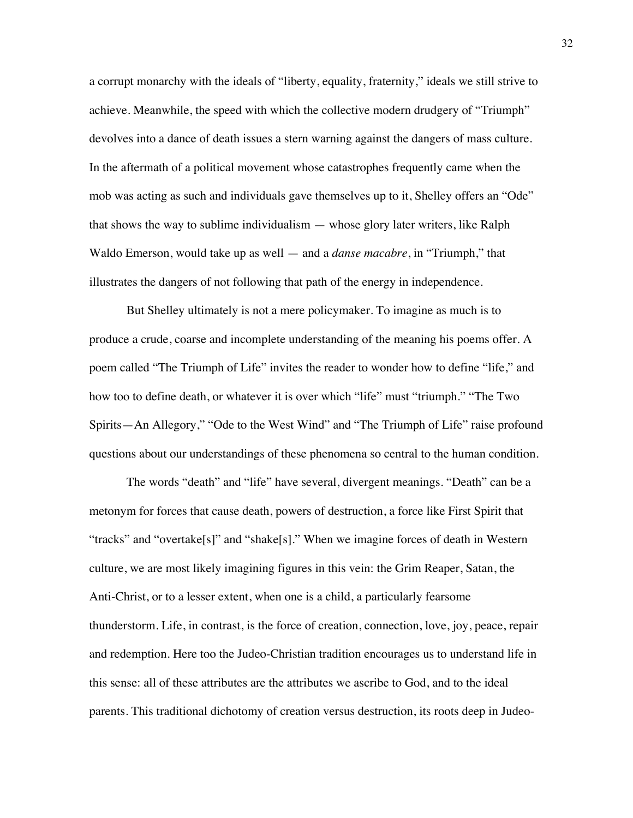a corrupt monarchy with the ideals of "liberty, equality, fraternity," ideals we still strive to achieve. Meanwhile, the speed with which the collective modern drudgery of "Triumph" devolves into a dance of death issues a stern warning against the dangers of mass culture. In the aftermath of a political movement whose catastrophes frequently came when the mob was acting as such and individuals gave themselves up to it, Shelley offers an "Ode" that shows the way to sublime individualism — whose glory later writers, like Ralph Waldo Emerson, would take up as well — and a *danse macabre*, in "Triumph," that illustrates the dangers of not following that path of the energy in independence.

But Shelley ultimately is not a mere policymaker. To imagine as much is to produce a crude, coarse and incomplete understanding of the meaning his poems offer. A poem called "The Triumph of Life" invites the reader to wonder how to define "life," and how too to define death, or whatever it is over which "life" must "triumph." "The Two Spirits—An Allegory," "Ode to the West Wind" and "The Triumph of Life" raise profound questions about our understandings of these phenomena so central to the human condition.

The words "death" and "life" have several, divergent meanings. "Death" can be a metonym for forces that cause death, powers of destruction, a force like First Spirit that "tracks" and "overtake[s]" and "shake[s]." When we imagine forces of death in Western culture, we are most likely imagining figures in this vein: the Grim Reaper, Satan, the Anti-Christ, or to a lesser extent, when one is a child, a particularly fearsome thunderstorm. Life, in contrast, is the force of creation, connection, love, joy, peace, repair and redemption. Here too the Judeo-Christian tradition encourages us to understand life in this sense: all of these attributes are the attributes we ascribe to God, and to the ideal parents. This traditional dichotomy of creation versus destruction, its roots deep in Judeo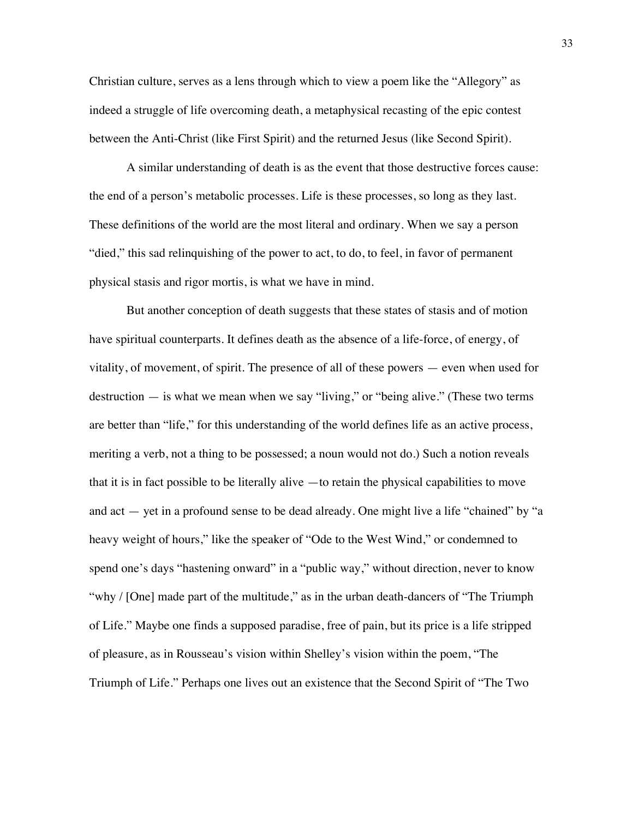Christian culture, serves as a lens through which to view a poem like the "Allegory" as indeed a struggle of life overcoming death, a metaphysical recasting of the epic contest between the Anti-Christ (like First Spirit) and the returned Jesus (like Second Spirit).

A similar understanding of death is as the event that those destructive forces cause: the end of a person's metabolic processes. Life is these processes, so long as they last. These definitions of the world are the most literal and ordinary. When we say a person "died," this sad relinquishing of the power to act, to do, to feel, in favor of permanent physical stasis and rigor mortis, is what we have in mind.

But another conception of death suggests that these states of stasis and of motion have spiritual counterparts. It defines death as the absence of a life-force, of energy, of vitality, of movement, of spirit. The presence of all of these powers — even when used for destruction — is what we mean when we say "living," or "being alive." (These two terms are better than "life," for this understanding of the world defines life as an active process, meriting a verb, not a thing to be possessed; a noun would not do.) Such a notion reveals that it is in fact possible to be literally alive —to retain the physical capabilities to move and act — yet in a profound sense to be dead already. One might live a life "chained" by "a heavy weight of hours," like the speaker of "Ode to the West Wind," or condemned to spend one's days "hastening onward" in a "public way," without direction, never to know "why / [One] made part of the multitude," as in the urban death-dancers of "The Triumph" of Life." Maybe one finds a supposed paradise, free of pain, but its price is a life stripped of pleasure, as in Rousseau's vision within Shelley's vision within the poem, "The Triumph of Life." Perhaps one lives out an existence that the Second Spirit of "The Two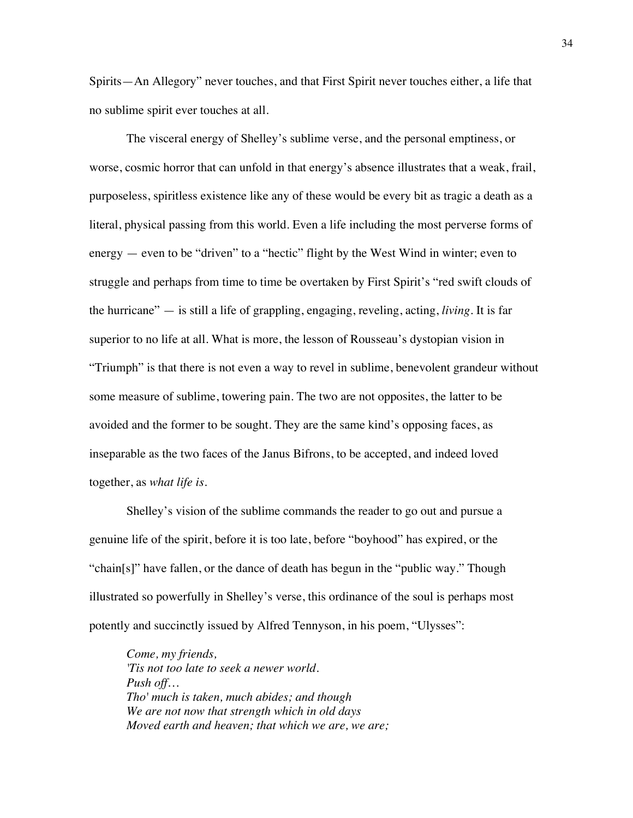Spirits—An Allegory" never touches, and that First Spirit never touches either, a life that no sublime spirit ever touches at all.

The visceral energy of Shelley's sublime verse, and the personal emptiness, or worse, cosmic horror that can unfold in that energy's absence illustrates that a weak, frail, purposeless, spiritless existence like any of these would be every bit as tragic a death as a literal, physical passing from this world. Even a life including the most perverse forms of energy — even to be "driven" to a "hectic" flight by the West Wind in winter; even to struggle and perhaps from time to time be overtaken by First Spirit's "red swift clouds of the hurricane" — is still a life of grappling, engaging, reveling, acting, *living*. It is far superior to no life at all. What is more, the lesson of Rousseau's dystopian vision in "Triumph" is that there is not even a way to revel in sublime, benevolent grandeur without some measure of sublime, towering pain. The two are not opposites, the latter to be avoided and the former to be sought. They are the same kind's opposing faces, as inseparable as the two faces of the Janus Bifrons, to be accepted, and indeed loved together, as *what life is*.

Shelley's vision of the sublime commands the reader to go out and pursue a genuine life of the spirit, before it is too late, before "boyhood" has expired, or the "chain[s]" have fallen, or the dance of death has begun in the "public way." Though illustrated so powerfully in Shelley's verse, this ordinance of the soul is perhaps most potently and succinctly issued by Alfred Tennyson, in his poem, "Ulysses":

*Come, my friends, 'Tis not too late to seek a newer world. Push off… Tho' much is taken, much abides; and though We are not now that strength which in old days Moved earth and heaven; that which we are, we are;*